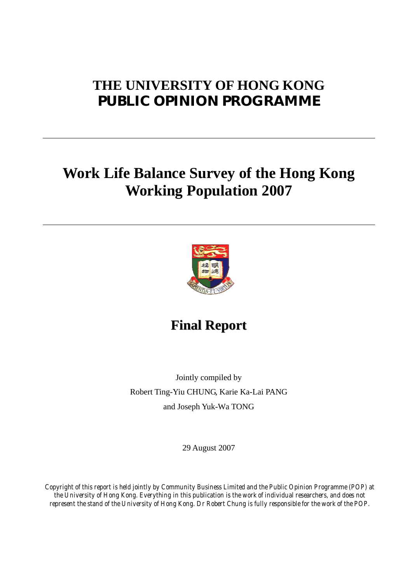# **THE UNIVERSITY OF HONG KONG PUBLIC OPINION PROGRAMME**

# **Work Life Balance Survey of the Hong Kong Working Population 2007**



**Final Report**

Jointly compiled by Robert Ting-Yiu CHUNG, Karie Ka-Lai PANG and Joseph Yuk-Wa TONG

29 August 2007

*Copyright of this report is held jointly by Community Business Limited and the Public Opinion Programme (POP) at the University of Hong Kong. Everything in this publication is the work of individual researchers, and does not represent the stand of the University of Hong Kong. Dr Robert Chung is fully responsible for the work of the POP.*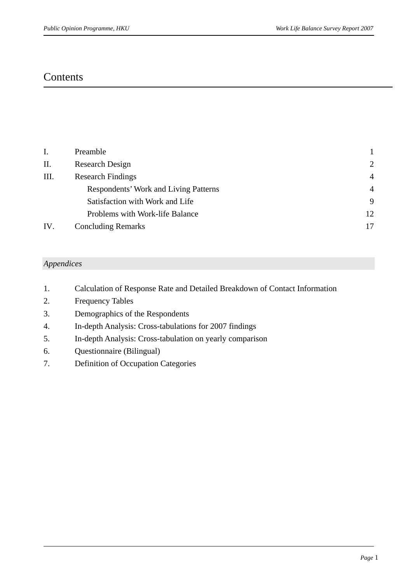## **Contents**

| I.  | Preamble                              |                |
|-----|---------------------------------------|----------------|
| Π.  | <b>Research Design</b>                | $\overline{2}$ |
| Ш.  | <b>Research Findings</b>              | $\overline{4}$ |
|     | Respondents' Work and Living Patterns | $\overline{4}$ |
|     | Satisfaction with Work and Life       | 9              |
|     | Problems with Work-life Balance       | 12             |
| IV. | <b>Concluding Remarks</b>             | 17             |

## *Appendices*

- 1. Calculation of Response Rate and Detailed Breakdown of Contact Information
- 2. Frequency Tables
- 3. Demographics of the Respondents
- 4. In-depth Analysis: Cross-tabulations for 2007 findings
- 5. In-depth Analysis: Cross-tabulation on yearly comparison
- 6. Questionnaire (Bilingual)
- 7. Definition of Occupation Categories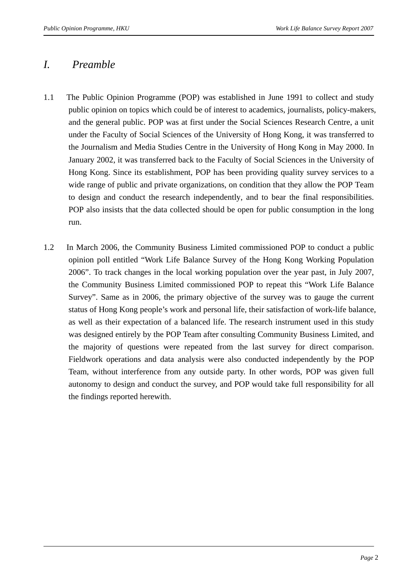## *I. Preamble*

- 1.1 The Public Opinion Programme (POP) was established in June 1991 to collect and study public opinion on topics which could be of interest to academics, journalists, policy-makers, and the general public. POP was at first under the Social Sciences Research Centre, a unit under the Faculty of Social Sciences of the University of Hong Kong, it was transferred to the Journalism and Media Studies Centre in the University of Hong Kong in May 2000. In January 2002, it was transferred back to the Faculty of Social Sciences in the University of Hong Kong. Since its establishment, POP has been providing quality survey services to a wide range of public and private organizations, on condition that they allow the POP Team to design and conduct the research independently, and to bear the final responsibilities. POP also insists that the data collected should be open for public consumption in the long run.
- 1.2 In March 2006, the Community Business Limited commissioned POP to conduct a public opinion poll entitled "Work Life Balance Survey of the Hong Kong Working Population 2006". To track changes in the local working population over the year past, in July 2007, the Community Business Limited commissioned POP to repeat this "Work Life Balance Survey". Same as in 2006, the primary objective of the survey was to gauge the current status of Hong Kong people's work and personal life, their satisfaction of work-life balance, as well as their expectation of a balanced life. The research instrument used in this study was designed entirely by the POP Team after consulting Community Business Limited, and the majority of questions were repeated from the last survey for direct comparison. Fieldwork operations and data analysis were also conducted independently by the POP Team, without interference from any outside party. In other words, POP was given full autonomy to design and conduct the survey, and POP would take full responsibility for all the findings reported herewith.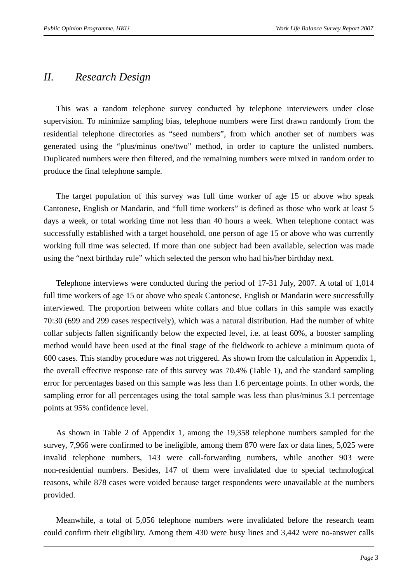## *II. Research Design*

 This was a random telephone survey conducted by telephone interviewers under close supervision. To minimize sampling bias, telephone numbers were first drawn randomly from the residential telephone directories as "seed numbers", from which another set of numbers was generated using the "plus/minus one/two" method, in order to capture the unlisted numbers. Duplicated numbers were then filtered, and the remaining numbers were mixed in random order to produce the final telephone sample.

 The target population of this survey was full time worker of age 15 or above who speak Cantonese, English or Mandarin, and "full time workers" is defined as those who work at least 5 days a week, or total working time not less than 40 hours a week. When telephone contact was successfully established with a target household, one person of age 15 or above who was currently working full time was selected. If more than one subject had been available, selection was made using the "next birthday rule" which selected the person who had his/her birthday next.

 Telephone interviews were conducted during the period of 17-31 July, 2007. A total of 1,014 full time workers of age 15 or above who speak Cantonese, English or Mandarin were successfully interviewed. The proportion between white collars and blue collars in this sample was exactly 70:30 (699 and 299 cases respectively), which was a natural distribution. Had the number of white collar subjects fallen significantly below the expected level, i.e. at least 60%, a booster sampling method would have been used at the final stage of the fieldwork to achieve a minimum quota of 600 cases. This standby procedure was not triggered. As shown from the calculation in Appendix 1, the overall effective response rate of this survey was 70.4% (Table 1), and the standard sampling error for percentages based on this sample was less than 1.6 percentage points. In other words, the sampling error for all percentages using the total sample was less than plus/minus 3.1 percentage points at 95% confidence level.

 As shown in Table 2 of Appendix 1, among the 19,358 telephone numbers sampled for the survey, 7,966 were confirmed to be ineligible, among them 870 were fax or data lines, 5,025 were invalid telephone numbers, 143 were call-forwarding numbers, while another 903 were non-residential numbers. Besides, 147 of them were invalidated due to special technological reasons, while 878 cases were voided because target respondents were unavailable at the numbers provided.

 Meanwhile, a total of 5,056 telephone numbers were invalidated before the research team could confirm their eligibility. Among them 430 were busy lines and 3,442 were no-answer calls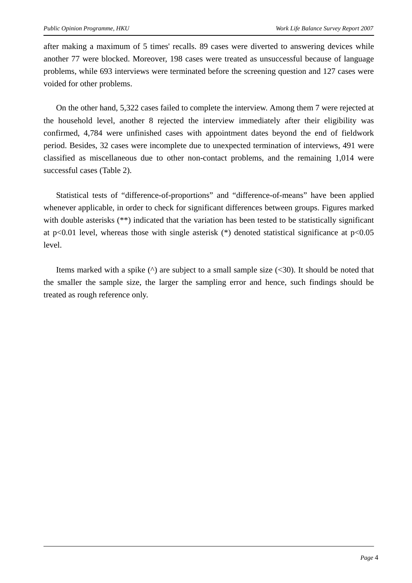after making a maximum of 5 times' recalls. 89 cases were diverted to answering devices while another 77 were blocked. Moreover, 198 cases were treated as unsuccessful because of language problems, while 693 interviews were terminated before the screening question and 127 cases were voided for other problems.

 On the other hand, 5,322 cases failed to complete the interview. Among them 7 were rejected at the household level, another 8 rejected the interview immediately after their eligibility was confirmed, 4,784 were unfinished cases with appointment dates beyond the end of fieldwork period. Besides, 32 cases were incomplete due to unexpected termination of interviews, 491 were classified as miscellaneous due to other non-contact problems, and the remaining 1,014 were successful cases (Table 2).

 Statistical tests of "difference-of-proportions" and "difference-of-means" have been applied whenever applicable, in order to check for significant differences between groups. Figures marked with double asterisks (\*\*) indicated that the variation has been tested to be statistically significant at p<0.01 level, whereas those with single asterisk  $(*)$  denoted statistical significance at p<0.05 level.

Items marked with a spike  $(\wedge)$  are subject to a small sample size  $(\leq 30)$ . It should be noted that the smaller the sample size, the larger the sampling error and hence, such findings should be treated as rough reference only.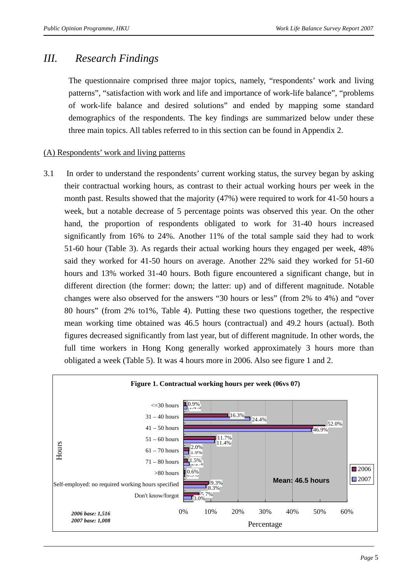## *III. Research Findings*

The questionnaire comprised three major topics, namely, "respondents' work and living patterns", "satisfaction with work and life and importance of work-life balance", "problems of work-life balance and desired solutions" and ended by mapping some standard demographics of the respondents. The key findings are summarized below under these three main topics. All tables referred to in this section can be found in Appendix 2.

## (A) Respondents' work and living patterns

3.1 In order to understand the respondents' current working status, the survey began by asking their contractual working hours, as contrast to their actual working hours per week in the month past. Results showed that the majority (47%) were required to work for 41-50 hours a week, but a notable decrease of 5 percentage points was observed this year. On the other hand, the proportion of respondents obligated to work for 31-40 hours increased significantly from 16% to 24%. Another 11% of the total sample said they had to work 51-60 hour (Table 3). As regards their actual working hours they engaged per week, 48% said they worked for 41-50 hours on average. Another 22% said they worked for 51-60 hours and 13% worked 31-40 hours. Both figure encountered a significant change, but in different direction (the former: down; the latter: up) and of different magnitude. Notable changes were also observed for the answers "30 hours or less" (from 2% to 4%) and "over 80 hours" (from 2% to1%, Table 4). Putting these two questions together, the respective mean working time obtained was 46.5 hours (contractual) and 49.2 hours (actual). Both figures decreased significantly from last year, but of different magnitude. In other words, the full time workers in Hong Kong generally worked approximately 3 hours more than obligated a week (Table 5). It was 4 hours more in 2006. Also see figure 1 and 2.

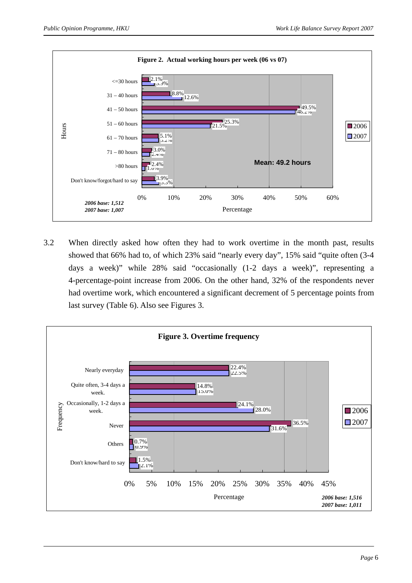

3.2 When directly asked how often they had to work overtime in the month past, results showed that 66% had to, of which 23% said "nearly every day", 15% said "quite often (3-4 days a week)" while 28% said "occasionally (1-2 days a week)", representing a 4-percentage-point increase from 2006. On the other hand, 32% of the respondents never had overtime work, which encountered a significant decrement of 5 percentage points from last survey (Table 6). Also see Figures 3.

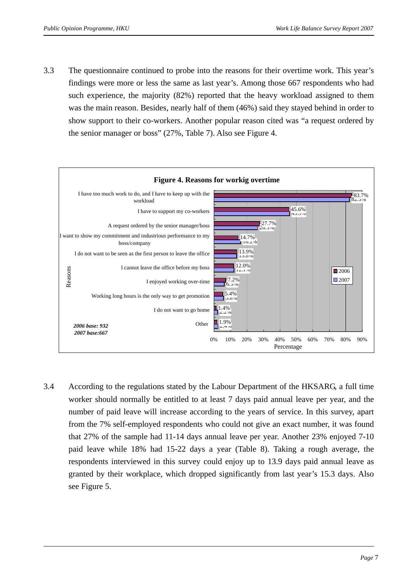3.3 The questionnaire continued to probe into the reasons for their overtime work. This year's findings were more or less the same as last year's. Among those 667 respondents who had such experience, the majority (82%) reported that the heavy workload assigned to them was the main reason. Besides, nearly half of them (46%) said they stayed behind in order to show support to their co-workers. Another popular reason cited was "a request ordered by the senior manager or boss" (27%, Table 7). Also see Figure 4.



3.4 According to the regulations stated by the Labour Department of the HKSARG, a full time worker should normally be entitled to at least 7 days paid annual leave per year, and the number of paid leave will increase according to the years of service. In this survey, apart from the 7% self-employed respondents who could not give an exact number, it was found that 27% of the sample had 11-14 days annual leave per year. Another 23% enjoyed 7-10 paid leave while 18% had 15-22 days a year (Table 8). Taking a rough average, the respondents interviewed in this survey could enjoy up to 13.9 days paid annual leave as granted by their workplace, which dropped significantly from last year's 15.3 days. Also see Figure 5.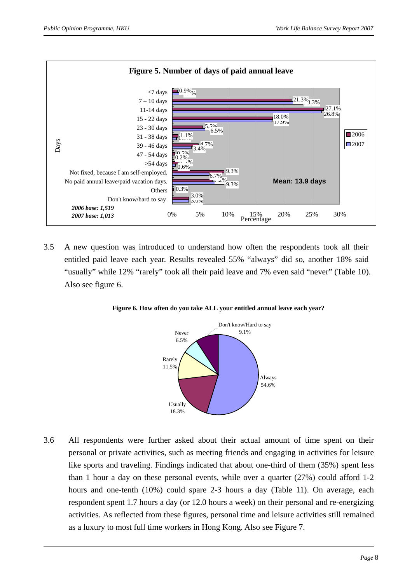

3.5 A new question was introduced to understand how often the respondents took all their entitled paid leave each year. Results revealed 55% "always" did so, another 18% said "usually" while 12% "rarely" took all their paid leave and 7% even said "never" (Table 10). Also see figure 6.



**Figure 6. How often do you take ALL your entitled annual leave each year?**

3.6 All respondents were further asked about their actual amount of time spent on their personal or private activities, such as meeting friends and engaging in activities for leisure like sports and traveling. Findings indicated that about one-third of them (35%) spent less than 1 hour a day on these personal events, while over a quarter (27%) could afford 1-2 hours and one-tenth (10%) could spare 2-3 hours a day (Table 11). On average, each respondent spent 1.7 hours a day (or 12.0 hours a week) on their personal and re-energizing activities. As reflected from these figures, personal time and leisure activities still remained as a luxury to most full time workers in Hong Kong. Also see Figure 7.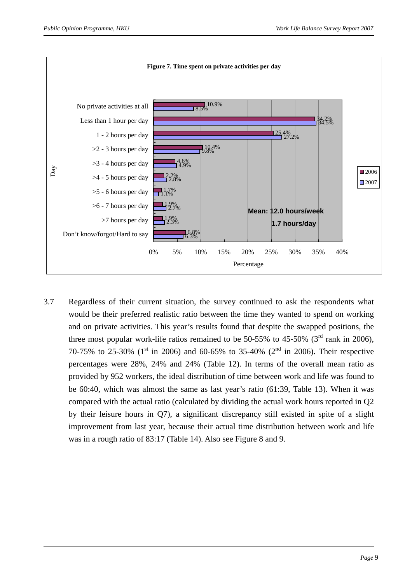

3.7 Regardless of their current situation, the survey continued to ask the respondents what would be their preferred realistic ratio between the time they wanted to spend on working and on private activities. This year's results found that despite the swapped positions, the three most popular work-life ratios remained to be 50-55% to 45-50% ( $3<sup>rd</sup>$  rank in 2006), 70-75% to 25-30% ( $1^{\text{st}}$  in 2006) and 60-65% to 35-40% ( $2^{\text{nd}}$  in 2006). Their respective percentages were 28%, 24% and 24% (Table 12). In terms of the overall mean ratio as provided by 952 workers, the ideal distribution of time between work and life was found to be 60:40, which was almost the same as last year's ratio (61:39, Table 13). When it was compared with the actual ratio (calculated by dividing the actual work hours reported in Q2 by their leisure hours in Q7), a significant discrepancy still existed in spite of a slight improvement from last year, because their actual time distribution between work and life was in a rough ratio of 83:17 (Table 14). Also see Figure 8 and 9.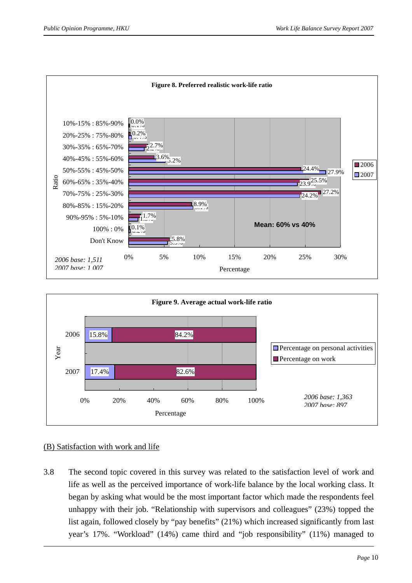



### (B) Satisfaction with work and life

3.8 The second topic covered in this survey was related to the satisfaction level of work and life as well as the perceived importance of work-life balance by the local working class. It began by asking what would be the most important factor which made the respondents feel unhappy with their job. "Relationship with supervisors and colleagues" (23%) topped the list again, followed closely by "pay benefits" (21%) which increased significantly from last year's 17%. "Workload" (14%) came third and "job responsibility" (11%) managed to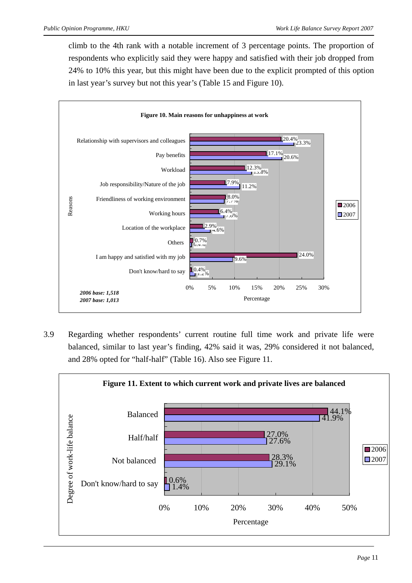climb to the 4th rank with a notable increment of 3 percentage points. The proportion of respondents who explicitly said they were happy and satisfied with their job dropped from 24% to 10% this year, but this might have been due to the explicit prompted of this option in last year's survey but not this year's (Table 15 and Figure 10).



3.9 Regarding whether respondents' current routine full time work and private life were balanced, similar to last year's finding, 42% said it was, 29% considered it not balanced, and 28% opted for "half-half" (Table 16). Also see Figure 11.

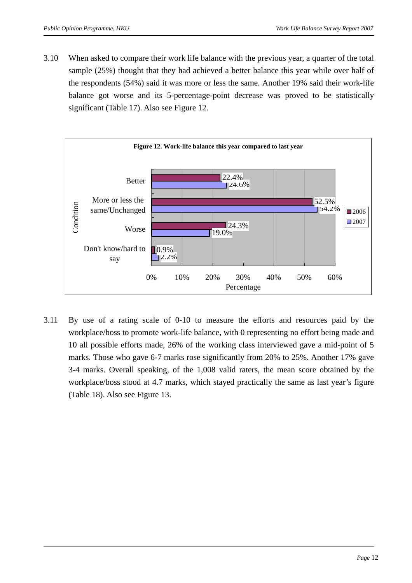3.10 When asked to compare their work life balance with the previous year, a quarter of the total sample (25%) thought that they had achieved a better balance this year while over half of the respondents (54%) said it was more or less the same. Another 19% said their work-life balance got worse and its 5-percentage-point decrease was proved to be statistically significant (Table 17). Also see Figure 12.



3.11 By use of a rating scale of 0-10 to measure the efforts and resources paid by the workplace/boss to promote work-life balance, with 0 representing no effort being made and 10 all possible efforts made, 26% of the working class interviewed gave a mid-point of 5 marks. Those who gave 6-7 marks rose significantly from 20% to 25%. Another 17% gave 3-4 marks. Overall speaking, of the 1,008 valid raters, the mean score obtained by the workplace/boss stood at 4.7 marks, which stayed practically the same as last year's figure (Table 18). Also see Figure 13.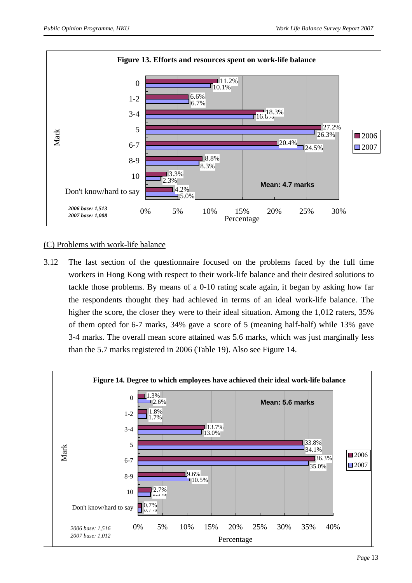

### (C) Problems with work-life balance

3.12 The last section of the questionnaire focused on the problems faced by the full time workers in Hong Kong with respect to their work-life balance and their desired solutions to tackle those problems. By means of a 0-10 rating scale again, it began by asking how far the respondents thought they had achieved in terms of an ideal work-life balance. The higher the score, the closer they were to their ideal situation. Among the 1,012 raters, 35% of them opted for 6-7 marks, 34% gave a score of 5 (meaning half-half) while 13% gave 3-4 marks. The overall mean score attained was 5.6 marks, which was just marginally less than the 5.7 marks registered in 2006 (Table 19). Also see Figure 14.

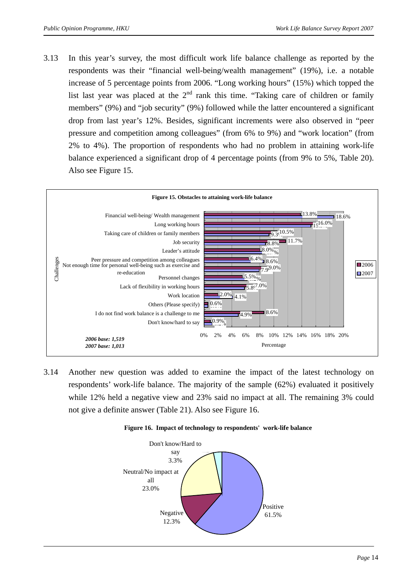3.13 In this year's survey, the most difficult work life balance challenge as reported by the respondents was their "financial well-being/wealth management" (19%), i.e. a notable increase of 5 percentage points from 2006. "Long working hours" (15%) which topped the list last year was placed at the  $2<sup>nd</sup>$  rank this time. "Taking care of children or family members" (9%) and "job security" (9%) followed while the latter encountered a significant drop from last year's 12%. Besides, significant increments were also observed in "peer pressure and competition among colleagues" (from 6% to 9%) and "work location" (from 2% to 4%). The proportion of respondents who had no problem in attaining work-life balance experienced a significant drop of 4 percentage points (from 9% to 5%, Table 20). Also see Figure 15.



3.14 Another new question was added to examine the impact of the latest technology on respondents' work-life balance. The majority of the sample (62%) evaluated it positively while 12% held a negative view and 23% said no impact at all. The remaining 3% could not give a definite answer (Table 21). Also see Figure 16.



#### **Figure 16. Impact of technology to respondents' work-life balance**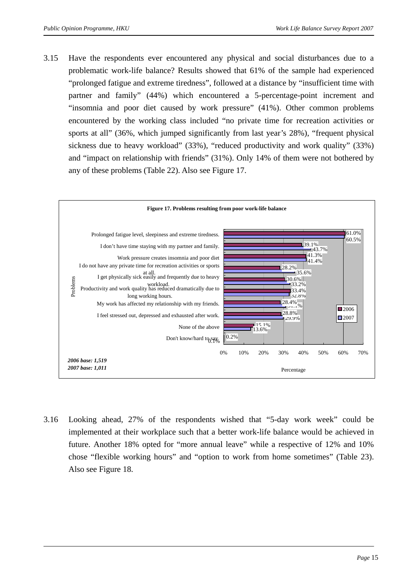3.15 Have the respondents ever encountered any physical and social disturbances due to a problematic work-life balance? Results showed that 61% of the sample had experienced "prolonged fatigue and extreme tiredness", followed at a distance by "insufficient time with partner and family" (44%) which encountered a 5-percentage-point increment and "insomnia and poor diet caused by work pressure" (41%). Other common problems encountered by the working class included "no private time for recreation activities or sports at all" (36%, which jumped significantly from last year's 28%), "frequent physical sickness due to heavy workload" (33%), "reduced productivity and work quality" (33%) and "impact on relationship with friends" (31%). Only 14% of them were not bothered by any of these problems (Table 22). Also see Figure 17.



3.16 Looking ahead, 27% of the respondents wished that "5-day work week" could be implemented at their workplace such that a better work-life balance would be achieved in future. Another 18% opted for "more annual leave" while a respective of 12% and 10% chose "flexible working hours" and "option to work from home sometimes" (Table 23). Also see Figure 18.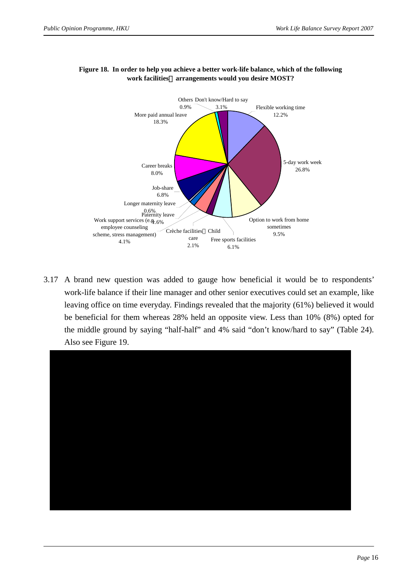

### **Figure 18. In order to help you achieve a better work-life balance, which of the following work facilities**/**arrangements would you desire MOST?**

3.17 A brand new question was added to gauge how beneficial it would be to respondents' work-life balance if their line manager and other senior executives could set an example, like leaving office on time everyday. Findings revealed that the majority (61%) believed it would be beneficial for them whereas 28% held an opposite view. Less than 10% (8%) opted for the middle ground by saying "half-half" and 4% said "don't know/hard to say" (Table 24). Also see Figure 19.

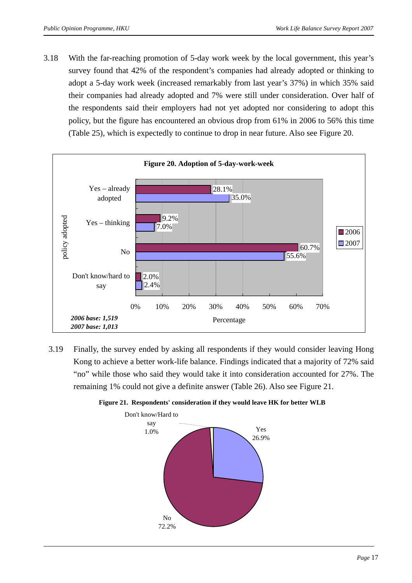3.18 With the far-reaching promotion of 5-day work week by the local government, this year's survey found that 42% of the respondent's companies had already adopted or thinking to adopt a 5-day work week (increased remarkably from last year's 37%) in which 35% said their companies had already adopted and 7% were still under consideration. Over half of the respondents said their employers had not yet adopted nor considering to adopt this policy, but the figure has encountered an obvious drop from 61% in 2006 to 56% this time (Table 25), which is expectedly to continue to drop in near future. Also see Figure 20.



3.19 Finally, the survey ended by asking all respondents if they would consider leaving Hong Kong to achieve a better work-life balance. Findings indicated that a majority of 72% said "no" while those who said they would take it into consideration accounted for 27%. The remaining 1% could not give a definite answer (Table 26). Also see Figure 21.



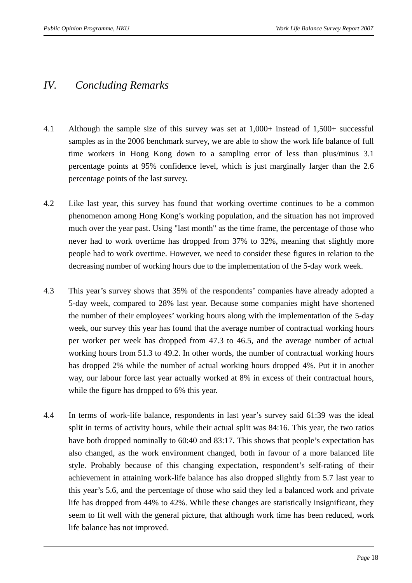## *IV. Concluding Remarks*

- 4.1 Although the sample size of this survey was set at 1,000+ instead of 1,500+ successful samples as in the 2006 benchmark survey, we are able to show the work life balance of full time workers in Hong Kong down to a sampling error of less than plus/minus 3.1 percentage points at 95% confidence level, which is just marginally larger than the 2.6 percentage points of the last survey.
- 4.2 Like last year, this survey has found that working overtime continues to be a common phenomenon among Hong Kong's working population, and the situation has not improved much over the year past. Using "last month" as the time frame, the percentage of those who never had to work overtime has dropped from 37% to 32%, meaning that slightly more people had to work overtime. However, we need to consider these figures in relation to the decreasing number of working hours due to the implementation of the 5-day work week.
- 4.3 This year's survey shows that 35% of the respondents' companies have already adopted a 5-day week, compared to 28% last year. Because some companies might have shortened the number of their employees' working hours along with the implementation of the 5-day week, our survey this year has found that the average number of contractual working hours per worker per week has dropped from 47.3 to 46.5, and the average number of actual working hours from 51.3 to 49.2. In other words, the number of contractual working hours has dropped 2% while the number of actual working hours dropped 4%. Put it in another way, our labour force last year actually worked at 8% in excess of their contractual hours, while the figure has dropped to 6% this year.
- 4.4 In terms of work-life balance, respondents in last year's survey said 61:39 was the ideal split in terms of activity hours, while their actual split was 84:16. This year, the two ratios have both dropped nominally to 60:40 and 83:17. This shows that people's expectation has also changed, as the work environment changed, both in favour of a more balanced life style. Probably because of this changing expectation, respondent's self-rating of their achievement in attaining work-life balance has also dropped slightly from 5.7 last year to this year's 5.6, and the percentage of those who said they led a balanced work and private life has dropped from 44% to 42%. While these changes are statistically insignificant, they seem to fit well with the general picture, that although work time has been reduced, work life balance has not improved.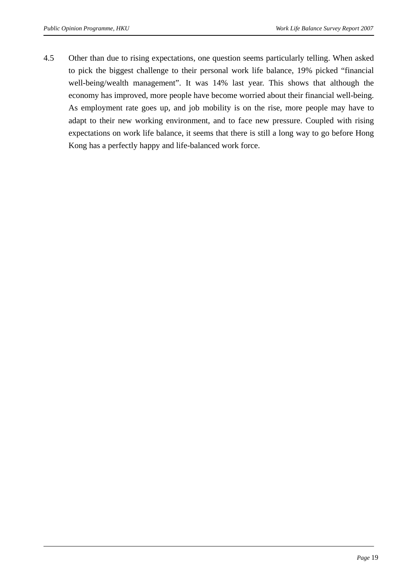4.5 Other than due to rising expectations, one question seems particularly telling. When asked to pick the biggest challenge to their personal work life balance, 19% picked "financial well-being/wealth management". It was 14% last year. This shows that although the economy has improved, more people have become worried about their financial well-being. As employment rate goes up, and job mobility is on the rise, more people may have to adapt to their new working environment, and to face new pressure. Coupled with rising expectations on work life balance, it seems that there is still a long way to go before Hong Kong has a perfectly happy and life-balanced work force.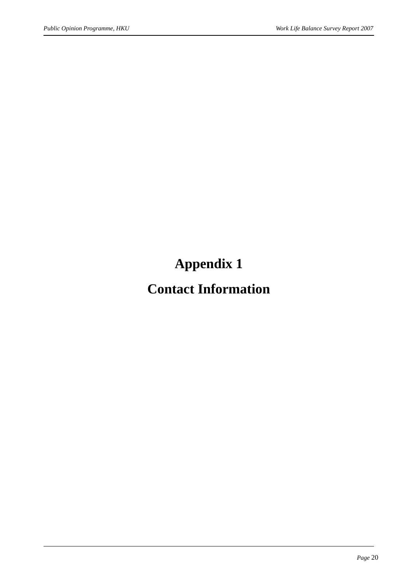# **Appendix 1**

# **Contact Information**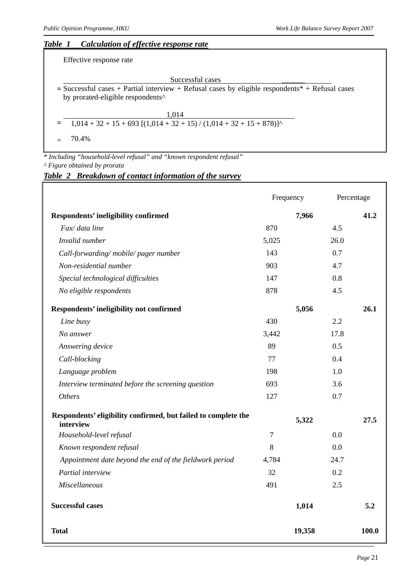### *Table 1 Calculation of effective response rate*

Effective response rate

Successful cases **=** Successful cases + Partial interview + Refusal cases by eligible respondents\* + Refusal cases by prorated-eligible respondents^

| 1.014                                                                    |
|--------------------------------------------------------------------------|
| $=$ 1,014 + 32 + 15 + 693 [(1,014 + 32 + 15) / (1,014 + 32 + 15 + 878)]^ |

 $= 70.4\%$ 

l

*\* Including "household-level refusal" and "known respondent refusal" ^ Figure obtained by prorata* 

#### *Table 2 Breakdown of contact information of the survey*

|                                                                             | Frequency      |      | Percentage |
|-----------------------------------------------------------------------------|----------------|------|------------|
| Respondents' ineligibility confirmed                                        | 7,966          |      | 41.2       |
| Fax/ data line                                                              | 870            | 4.5  |            |
| Invalid number                                                              | 5,025          | 26.0 |            |
| Call-forwarding/mobile/pager number                                         | 143            | 0.7  |            |
| Non-residential number                                                      | 903            | 4.7  |            |
| Special technological difficulties                                          | 147            | 0.8  |            |
| No eligible respondents                                                     | 878            | 4.5  |            |
| Respondents' ineligibility not confirmed                                    | 5,056          |      | 26.1       |
| Line busy                                                                   | 430            | 2.2  |            |
| No answer                                                                   | 3,442          | 17.8 |            |
| Answering device                                                            | 89             | 0.5  |            |
| Call-blocking                                                               | 77             | 0.4  |            |
| Language problem                                                            | 198            | 1.0  |            |
| Interview terminated before the screening question                          | 693            | 3.6  |            |
| <b>Others</b>                                                               | 127            | 0.7  |            |
| Respondents' eligibility confirmed, but failed to complete the<br>interview | 5,322          |      | 27.5       |
| Household-level refusal                                                     | $\overline{7}$ | 0.0  |            |
| Known respondent refusal                                                    | 8              | 0.0  |            |
| Appointment date beyond the end of the fieldwork period                     | 4,784          | 24.7 |            |
| Partial interview                                                           | 32             | 0.2  |            |
| <b>Miscellaneous</b>                                                        | 491            | 2.5  |            |
| <b>Successful cases</b>                                                     | 1,014          |      | 5.2        |
| <b>Total</b>                                                                | 19,358         |      | 100.0      |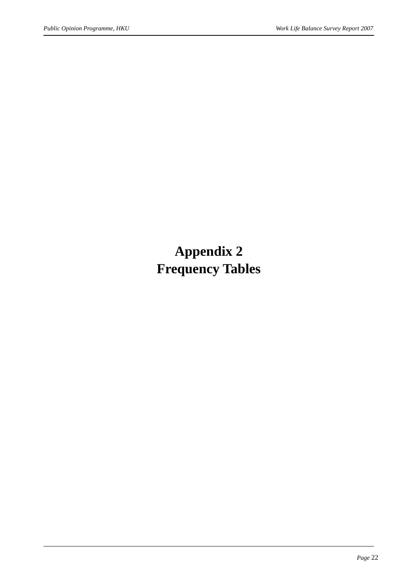# **Appendix 2 Frequency Tables**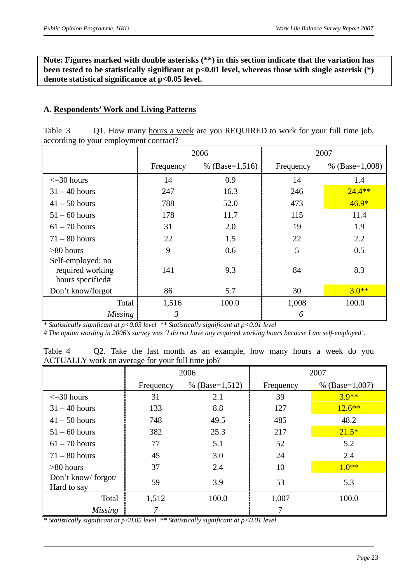**Note: Figures marked with double asterisks (\*\*) in this section indicate that the variation has**  been tested to be statistically significant at p<0.01 level, whereas those with single asterisk (\*) **denote statistical significance at p<0.05 level.** 

### **A. Respondents' Work and Living Patterns**

| Table 3 | Q1. How many hours a week are you REQUIRED to work for your full time job, |
|---------|----------------------------------------------------------------------------|
|         | according to your employment contract?                                     |

|                                                           |           | 2006             |           | 2007             |
|-----------------------------------------------------------|-----------|------------------|-----------|------------------|
|                                                           | Frequency | % $(Base=1,516)$ | Frequency | % $(Base=1,008)$ |
| $\leq$ = 30 hours                                         | 14        | 0.9              | 14        | 1.4              |
| $31 - 40$ hours                                           | 247       | 16.3             | 246       | $24.4**$         |
| $41 - 50$ hours                                           | 788       | 52.0             | 473       | $46.9*$          |
| $51 - 60$ hours                                           | 178       | 11.7             | 115       | 11.4             |
| $61 - 70$ hours                                           | 31        | 2.0              | 19        | 1.9              |
| $71 - 80$ hours                                           | 22        | 1.5              | 22        | 2.2              |
| $>80$ hours                                               | 9         | 0.6              | 5         | 0.5              |
| Self-employed: no<br>required working<br>hours specified# | 141       | 9.3              | 84        | 8.3              |
| Don't know/forgot                                         | 86        | 5.7              | 30        | $3.0**$          |
| Total                                                     | 1,516     | 100.0            | 1,008     | 100.0            |
| <b>Missing</b>                                            | 3         |                  | 6         |                  |

*\* Statistically significant at p<0.05 level \*\* Statistically significant at p<0.01 level* 

*# The option wording in 2006's survey was 'I do not have any required working hours because I am self-employed'.* 

Table 4 Q2. Take the last month as an example, how many hours a week do you ACTUALLY work on average for your full time job?

|                                   | °0        | 2006             |           | 2007             |
|-----------------------------------|-----------|------------------|-----------|------------------|
|                                   | Frequency | % $(Base=1,512)$ | Frequency | % $(Base=1,007)$ |
| $\leq$ = 30 hours                 | 31        | 2.1              | 39        | $3.9**$          |
| $31 - 40$ hours                   | 133       | 8.8              | 127       | $12.6***$        |
| $41 - 50$ hours                   | 748       | 49.5             | 485       | 48.2             |
| $51 - 60$ hours                   | 382       | 25.3             | 217       | $21.5*$          |
| $61 - 70$ hours                   | 77        | 5.1              | 52        | 5.2              |
| $71 - 80$ hours                   | 45        | 3.0              | 24        | 2.4              |
| $>80$ hours                       | 37        | 2.4              | 10        | $1.0**$          |
| Don't know/forgot/<br>Hard to say | 59        | 3.9              | 53        | 5.3              |
| Total                             | 1,512     | 100.0            | 1,007     | 100.0            |
| <b>Missing</b>                    |           |                  |           |                  |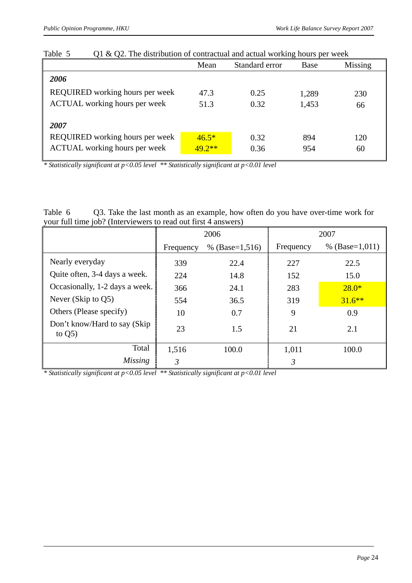|                                      | Mean     | Standard error | Base  | Missing |
|--------------------------------------|----------|----------------|-------|---------|
| 2006                                 |          |                |       |         |
| REQUIRED working hours per week      | 47.3     | 0.25           | 1,289 | 230     |
| <b>ACTUAL</b> working hours per week | 51.3     | 0.32           | 1,453 | 66      |
| 2007                                 |          |                |       |         |
| REQUIRED working hours per week      | $46.5*$  | 0.32           | 894   | 120     |
| <b>ACTUAL</b> working hours per week | $49.2**$ | 0.36           | 954   | 60      |
|                                      |          |                |       |         |

Table 5 Q1 & Q2. The distribution of contractual and actual working hours per week

Table 6 Q3. Take the last month as an example, how often do you have over-time work for your full time job? (Interviewers to read out first 4 answers)

|                                            |           | 2006             | 2007      |                  |  |
|--------------------------------------------|-----------|------------------|-----------|------------------|--|
|                                            | Frequency | % $(Base=1,516)$ | Frequency | % $(Base=1,011)$ |  |
| Nearly everyday                            | 339       | 22.4             | 227       | 22.5             |  |
| Quite often, 3-4 days a week.              | 224       | 14.8             | 152       | 15.0             |  |
| Occasionally, 1-2 days a week.             | 366       | 24.1             | 283       | $28.0*$          |  |
| Never (Skip to $Q5$ )                      | 554       | 36.5             | 319       | $31.6***$        |  |
| Others (Please specify)                    | 10        | 0.7              | 9         | 0.9              |  |
| Don't know/Hard to say (Skip)<br>to $Q5$ ) | 23        | 1.5              | 21        | 2.1              |  |
| Total                                      | 1,516     | 100.0            | 1,011     | 100.0            |  |
| Missing                                    | 3         |                  | 3         |                  |  |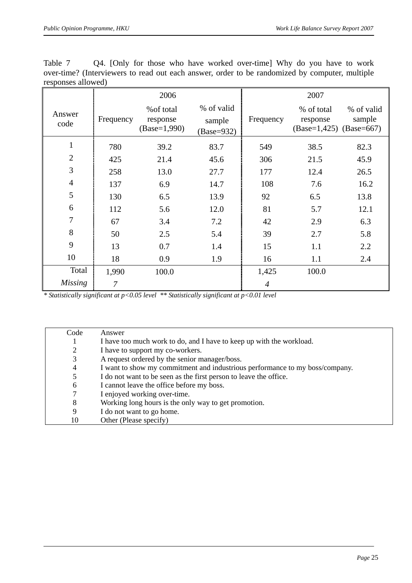| Table 7                                                                                        |  |  |  | Q4. [Only for those who have worked over-time] Why do you have to work |  |  |  |  |
|------------------------------------------------------------------------------------------------|--|--|--|------------------------------------------------------------------------|--|--|--|--|
| over-time? (Interviewers to read out each answer, order to be randomized by computer, multiple |  |  |  |                                                                        |  |  |  |  |
| responses allowed)                                                                             |  |  |  |                                                                        |  |  |  |  |

|                |                | 2006                                     |                                    |                | 2007                                                  |                      |
|----------------|----------------|------------------------------------------|------------------------------------|----------------|-------------------------------------------------------|----------------------|
| Answer<br>code | Frequency      | % of total<br>response<br>$(Base=1,990)$ | % of valid<br>sample<br>(Base=932) | Frequency      | % of total<br>response<br>$(Base=1,425)$ $(Base=667)$ | % of valid<br>sample |
| $\mathbf{1}$   | 780            | 39.2                                     | 83.7                               | 549            | 38.5                                                  | 82.3                 |
| $\overline{2}$ | 425            | 21.4                                     | 45.6                               | 306            | 21.5                                                  | 45.9                 |
| 3              | 258            | 13.0                                     | 27.7                               | 177            | 12.4                                                  | 26.5                 |
| $\overline{4}$ | 137            | 6.9                                      | 14.7                               | 108            | 7.6                                                   | 16.2                 |
| 5              | 130            | 6.5                                      | 13.9                               | 92             | 6.5                                                   | 13.8                 |
| 6              | 112            | 5.6                                      | 12.0                               | 81             | 5.7                                                   | 12.1                 |
| 7              | 67             | 3.4                                      | 7.2                                | 42             | 2.9                                                   | 6.3                  |
| 8              | 50             | 2.5                                      | 5.4                                | 39             | 2.7                                                   | 5.8                  |
| 9              | 13             | 0.7                                      | 1.4                                | 15             | 1.1                                                   | 2.2                  |
| 10             | 18             | 0.9                                      | 1.9                                | 16             | 1.1                                                   | 2.4                  |
| Total          | 1,990          | 100.0                                    |                                    | 1,425          | 100.0                                                 |                      |
| <b>Missing</b> | $\overline{7}$ |                                          |                                    | $\overline{4}$ |                                                       |                      |

| Code           | Answer                                                                       |
|----------------|------------------------------------------------------------------------------|
|                | I have too much work to do, and I have to keep up with the workload.         |
| 2              | I have to support my co-workers.                                             |
| 3              | A request ordered by the senior manager/boss.                                |
| $\overline{4}$ | I want to show my commitment and industrious performance to my boss/company. |
| 5              | I do not want to be seen as the first person to leave the office.            |
| 6              | I cannot leave the office before my boss.                                    |
| 7              | I enjoyed working over-time.                                                 |
| 8              | Working long hours is the only way to get promotion.                         |
| 9              | I do not want to go home.                                                    |
| 10             | Other (Please specify)                                                       |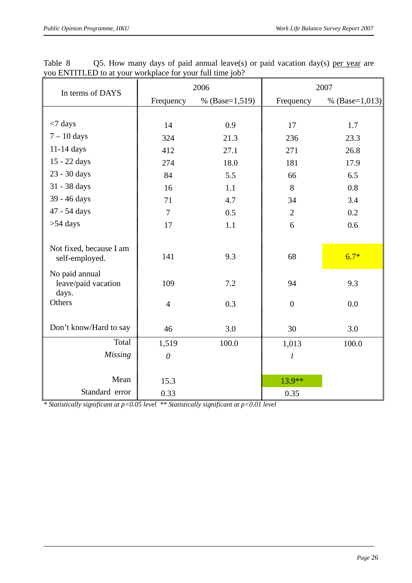| In terms of DAYS                               |                | 2006           | 2007             |                  |  |  |
|------------------------------------------------|----------------|----------------|------------------|------------------|--|--|
|                                                | Frequency      | % (Base=1,519) | Frequency        | % $(Base=1,013)$ |  |  |
|                                                |                |                |                  |                  |  |  |
| $<$ 7 days                                     | 14             | 0.9            | 17               | 1.7              |  |  |
| $7 - 10$ days                                  | 324            | 21.3           | 236              | 23.3             |  |  |
| $11-14$ days                                   | 412            | 27.1           | 271              | 26.8             |  |  |
| 15 - 22 days                                   | 274            | 18.0           | 181              | 17.9             |  |  |
| 23 - 30 days                                   | 84             | 5.5            | 66               | 6.5              |  |  |
| 31 - 38 days                                   | 16             | 1.1            | 8                | 0.8              |  |  |
| 39 - 46 days                                   | 71             | 4.7            | 34               | 3.4              |  |  |
| 47 - 54 days                                   | $\tau$         | 0.5            | $\overline{2}$   | 0.2              |  |  |
| $>54$ days                                     | 17             | 1.1            | 6                | 0.6              |  |  |
|                                                |                |                |                  |                  |  |  |
| Not fixed, because I am<br>self-employed.      | 141            | 9.3            | 68               | $6.7*$           |  |  |
| No paid annual<br>leave/paid vacation<br>days. | 109            | 7.2            | 94               | 9.3              |  |  |
| Others                                         | $\overline{4}$ | 0.3            | $\overline{0}$   | 0.0              |  |  |
|                                                |                |                |                  |                  |  |  |
| Don't know/Hard to say                         | 46             | 3.0            | 30               | 3.0              |  |  |
| Total                                          | 1,519          | 100.0          | 1,013            | 100.0            |  |  |
| <b>Missing</b>                                 | $\theta$       |                | $\boldsymbol{l}$ |                  |  |  |
|                                                |                |                |                  |                  |  |  |
| Mean                                           | 15.3           |                | 13.9**           |                  |  |  |
| Standard error                                 | 0.33           |                | 0.35             |                  |  |  |

Table 8 Q5. How many days of paid annual leave(s) or paid vacation day(s) per year are you ENTITLED to at your workplace for your full time job?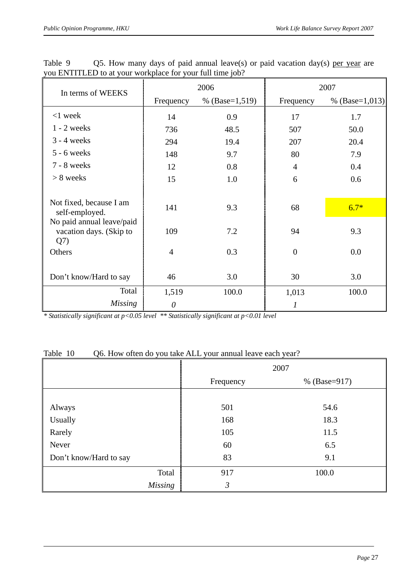| In terms of WEEKS                                                                                 |                | 2006             | 2007                          |               |  |  |
|---------------------------------------------------------------------------------------------------|----------------|------------------|-------------------------------|---------------|--|--|
|                                                                                                   | Frequency      | % $(Base=1,519)$ | % $(Base=1,013)$<br>Frequency |               |  |  |
| $<$ 1 week                                                                                        | 14             | 0.9              | 17                            | 1.7           |  |  |
| $1 - 2$ weeks                                                                                     | 736            | 48.5             | 507                           | 50.0          |  |  |
| $3 - 4$ weeks                                                                                     | 294            | 19.4             | 207                           | 20.4          |  |  |
| $5 - 6$ weeks                                                                                     | 148            | 9.7              | 80                            | 7.9           |  |  |
| 7 - 8 weeks                                                                                       | 12             | 0.8              | $\overline{4}$                | 0.4           |  |  |
| $> 8$ weeks                                                                                       | 15             | 1.0              | 6                             | 0.6           |  |  |
| Not fixed, because I am<br>self-employed.<br>No paid annual leave/paid<br>vacation days. (Skip to | 141<br>109     | 9.3<br>7.2       | 68<br>94                      | $6.7*$<br>9.3 |  |  |
| Q(7)<br>Others                                                                                    | $\overline{4}$ | 0.3              | $\overline{0}$                | 0.0           |  |  |
| Don't know/Hard to say                                                                            | 46             | 3.0              | 30                            | 3.0           |  |  |
| Total                                                                                             | 1,519          | 100.0            | 1,013                         | 100.0         |  |  |
| <i>Missing</i>                                                                                    | $\theta$       |                  | 1                             |               |  |  |

Table 9 Q5. How many days of paid annual leave(s) or paid vacation day(s) per year are you ENTITLED to at your workplace for your full time job?

#### Table 10 Q6. How often do you take ALL your annual leave each year?

|                        |                | 2007         |
|------------------------|----------------|--------------|
|                        | Frequency      | % (Base=917) |
|                        |                |              |
| Always                 | 501            | 54.6         |
| Usually                | 168            | 18.3         |
| Rarely                 | 105            | 11.5         |
| Never                  | 60             | 6.5          |
| Don't know/Hard to say | 83             | 9.1          |
| Total                  | 917            | 100.0        |
| <b>Missing</b>         | $\mathfrak{Z}$ |              |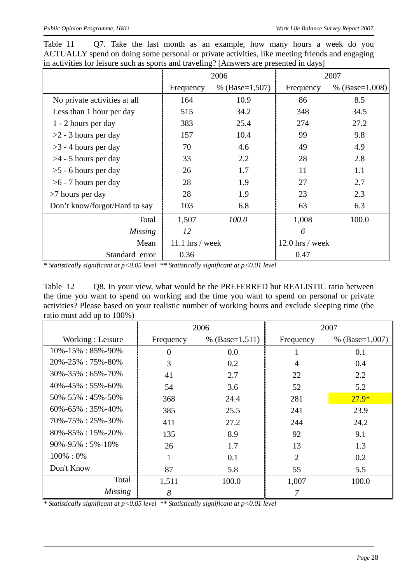|                               |                 | 2006             |                   | 2007             |
|-------------------------------|-----------------|------------------|-------------------|------------------|
|                               | Frequency       | % $(Base=1,507)$ | Frequency         | % $(Base=1,008)$ |
| No private activities at all  | 164             | 10.9             | 86                | 8.5              |
| Less than 1 hour per day      | 515             | 34.2             | 348               | 34.5             |
| 1 - 2 hours per day           | 383             | 25.4             | 274               | 27.2             |
| $>2$ - 3 hours per day        | 157             | 10.4             | 99                | 9.8              |
| $>3$ - 4 hours per day        | 70              | 4.6              | 49                | 4.9              |
| $>4$ - 5 hours per day        | 33              | 2.2              | 28                | 2.8              |
| $>5$ - 6 hours per day        | 26              | 1.7              | 11                | 1.1              |
| $>6$ - 7 hours per day        | 28              | 1.9              | 27                | 2.7              |
| $>7$ hours per day            | 28              | 1.9              | 23                | 2.3              |
| Don't know/forgot/Hard to say | 103             | 6.8              | 63                | 6.3              |
| Total                         | 1,507           | 100.0            | 1,008             | 100.0            |
| <b>Missing</b>                | 12              |                  | 6                 |                  |
| Mean                          | 11.1 hrs / week |                  | $12.0$ hrs / week |                  |
| Standard error                | 0.36            |                  | 0.47              |                  |

Table 11 Q7. Take the last month as an example, how many hours a week do you ACTUALLY spend on doing some personal or private activities, like meeting friends and engaging in activities for leisure such as sports and traveling? [Answers are presented in days]

Table 12 Q8. In your view, what would be the PREFERRED but REALISTIC ratio between the time you want to spend on working and the time you want to spend on personal or private activities? Please based on your realistic number of working hours and exclude sleeping time (the ratio must add up to 100%)

|                             |           | 2006             |                | 2007             |
|-----------------------------|-----------|------------------|----------------|------------------|
| Working: Leisure            | Frequency | % $(Base=1,511)$ | Frequency      | % $(Base=1,007)$ |
| $10\% - 15\% : 85\% - 90\%$ | 0         | 0.0              |                | 0.1              |
| $20\% - 25\% : 75\% - 80\%$ | 3         | 0.2              | 4              | 0.4              |
| $30\% - 35\% : 65\% - 70\%$ | 41        | 2.7              | 22             | 2.2              |
| $40\% - 45\% : 55\% - 60\%$ | 54        | 3.6              | 52             | 5.2              |
| 50%-55%: 45%-50%            | 368       | 24.4             | 281            | $27.9*$          |
| $60\% - 65\% : 35\% - 40\%$ | 385       | 25.5             | 241            | 23.9             |
| 70%-75%: 25%-30%            | 411       | 27.2             | 244            | 24.2             |
| $80\% - 85\% : 15\% - 20\%$ | 135       | 8.9              | 92             | 9.1              |
| $90\% - 95\% : 5\% - 10\%$  | 26        | 1.7              | 13             | 1.3              |
| $100\% : 0\%$               |           | 0.1              | $\overline{2}$ | 0.2              |
| Don't Know                  | 87        | 5.8              | 55             | 5.5              |
| Total                       | 1,511     | 100.0            | 1,007          | 100.0            |
| <b>Missing</b>              | 8         |                  |                |                  |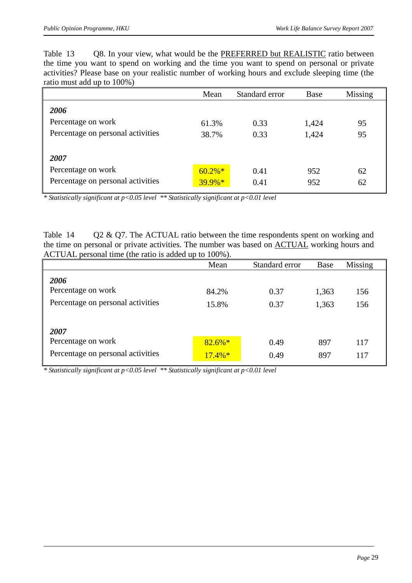Table 13 Q8. In your view, what would be the PREFERRED but REALISTIC ratio between the time you want to spend on working and the time you want to spend on personal or private activities? Please base on your realistic number of working hours and exclude sleeping time (the ratio must add up to 100%)

|                                   | Mean      | Standard error | Base  | Missing |
|-----------------------------------|-----------|----------------|-------|---------|
| 2006                              |           |                |       |         |
| Percentage on work                | 61.3%     | 0.33           | 1,424 | 95      |
| Percentage on personal activities | 38.7%     | 0.33           | 1,424 | 95      |
|                                   |           |                |       |         |
| 2007                              |           |                |       |         |
| Percentage on work                | $60.2\%*$ | 0.41           | 952   | 62      |
| Percentage on personal activities | $39.9\%*$ | 0.41           | 952   | 62      |

*\* Statistically significant at p<0.05 level \*\* Statistically significant at p<0.01 level* 

Table 14 Q2 & Q7. The ACTUAL ratio between the time respondents spent on working and the time on personal or private activities. The number was based on **ACTUAL** working hours and ACTUAL personal time (the ratio is added up to 100%).

|                                   | Mean      | Standard error | <b>Base</b> | Missing |
|-----------------------------------|-----------|----------------|-------------|---------|
| 2006                              |           |                |             |         |
| Percentage on work                | 84.2%     | 0.37           | 1,363       | 156     |
| Percentage on personal activities | 15.8%     | 0.37           | 1,363       | 156     |
|                                   |           |                |             |         |
| 2007                              |           |                |             |         |
| Percentage on work                | $82.6\%*$ | 0.49           | 897         | 117     |
| Percentage on personal activities | $17.4\%*$ | 0.49           | 897         | 117     |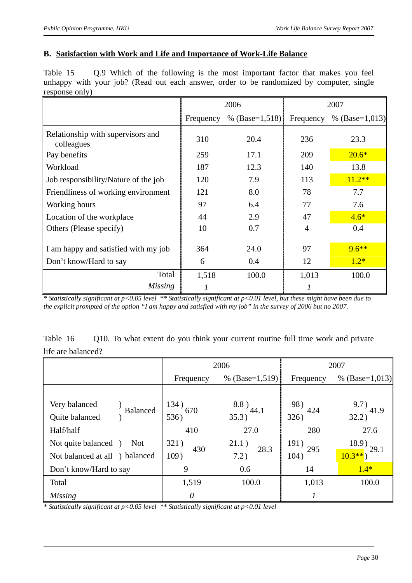## **B. Satisfaction with Work and Life and Importance of Work-Life Balance**

Table 15 Q.9 Which of the following is the most important factor that makes you feel unhappy with your job? (Read out each answer, order to be randomized by computer, single response only)

|                                                 |           | 2006             |           | 2007             |
|-------------------------------------------------|-----------|------------------|-----------|------------------|
|                                                 | Frequency | % $(Base=1,518)$ | Frequency | % $(Base=1,013)$ |
| Relationship with supervisors and<br>colleagues | 310       | 20.4             | 236       | 23.3             |
| Pay benefits                                    | 259       | 17.1             | 209       | $20.6*$          |
| Workload                                        | 187       | 12.3             | 140       | 13.8             |
| Job responsibility/Nature of the job            | 120       | 7.9              | 113       | $11.2**$         |
| Friendliness of working environment             | 121       | 8.0              | 78        | 7.7              |
| Working hours                                   | 97        | 6.4              | 77        | 7.6              |
| Location of the workplace                       | 44        | 2.9              | 47        | $4.6*$           |
| Others (Please specify)                         | 10        | 0.7              | 4         | 0.4              |
| I am happy and satisfied with my job            | 364       | 24.0             | 97        | $9.6***$         |
| Don't know/Hard to say                          | 6         | 0.4              | 12        | $1.2*$           |
| Total                                           | 1,518     | 100.0            | 1,013     | 100.0            |
| Missing                                         |           |                  |           |                  |

*\* Statistically significant at p<0.05 level \*\* Statistically significant at p<0.01 level, but these might have been due to the explicit prompted of the option "I am happy and satisfied with my job" in the survey of 2006 but no 2007.* 

| Table 16           | Q10. To what extent do you think your current routine full time work and private |  |
|--------------------|----------------------------------------------------------------------------------|--|
| life are balanced? |                                                                                  |  |

|                                    |               | 2006           | 2007        |                     |  |
|------------------------------------|---------------|----------------|-------------|---------------------|--|
|                                    | Frequency     | % (Base=1,519) | Frequency   | % $(Base=1,013)$    |  |
|                                    |               |                |             |                     |  |
| Very balanced<br><b>Balanced</b>   | $^{134)}$ 670 | $8.8)$ 44.1    | 98)         | $9.7)$ 41.9         |  |
| Quite balanced                     | 536)          | 35.3)          | 424<br>326) | 32.2)               |  |
| Half/half                          | 410           | 27.0           | 280         | 27.6                |  |
| Not quite balanced )<br><b>Not</b> | 321)          | 21.1)          | 191)<br>295 | $\frac{18.9}{29.1}$ |  |
| Not balanced at all ) balanced     | 430<br>109)   | 28.3<br>7.2)   | 104)        | $10.3**$            |  |
| Don't know/Hard to say             | 9             | 0.6            | 14          | $1.4*$              |  |
| Total                              | 1,519         | 100.0          | 1,013       | 100.0               |  |
| <b>Missing</b>                     | 0             |                |             |                     |  |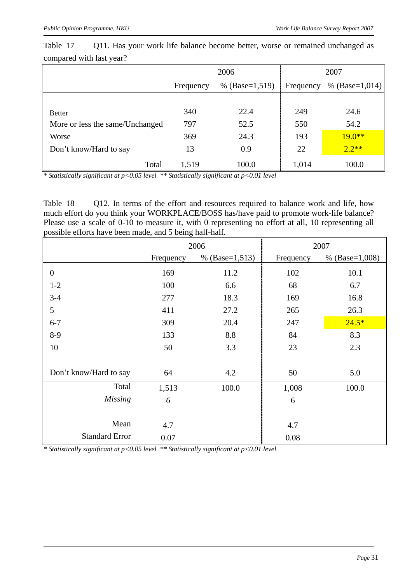|                                 |           | 2006             | 2007      |                |  |  |
|---------------------------------|-----------|------------------|-----------|----------------|--|--|
|                                 | Frequency | % $(Base=1,519)$ | Frequency | % (Base=1,014) |  |  |
|                                 |           |                  |           |                |  |  |
| <b>Better</b>                   | 340       | 22.4             | 249       | 24.6           |  |  |
| More or less the same/Unchanged | 797       | 52.5             | 550       | 54.2           |  |  |
| Worse                           | 369       | 24.3             | 193       | $19.0**$       |  |  |
| Don't know/Hard to say          | 13        | 0.9              | 22        | $2.2**$        |  |  |
| Total                           | 1,519     | 100.0            | 1,014     | 100.0          |  |  |

Table 17 Q11. Has your work life balance become better, worse or remained unchanged as compared with last year?

*\* Statistically significant at p<0.05 level \*\* Statistically significant at p<0.01 level* 

Table 18 Q12. In terms of the effort and resources required to balance work and life, how much effort do you think your WORKPLACE/BOSS has/have paid to promote work-life balance? Please use a scale of 0-10 to measure it, with 0 representing no effort at all, 10 representing all possible efforts have been made, and 5 being half-half.

|                        |           | 2006             |           | 2007             |
|------------------------|-----------|------------------|-----------|------------------|
|                        | Frequency | % $(Base=1,513)$ | Frequency | % $(Base=1,008)$ |
| $\boldsymbol{0}$       | 169       | 11.2             | 102       | 10.1             |
| $1 - 2$                | 100       | 6.6              | 68        | 6.7              |
| $3-4$                  | 277       | 18.3             | 169       | 16.8             |
| 5                      | 411       | 27.2             | 265       | 26.3             |
| $6 - 7$                | 309       | 20.4             | 247       | $24.5*$          |
| $8-9$                  | 133       | 8.8              | 84        | 8.3              |
| 10                     | 50        | 3.3              | 23        | 2.3              |
|                        |           |                  |           |                  |
| Don't know/Hard to say | 64        | 4.2              | 50        | 5.0              |
| Total                  | 1,513     | 100.0            | 1,008     | 100.0            |
| <b>Missing</b>         | 6         |                  | 6         |                  |
|                        |           |                  |           |                  |
| Mean                   | 4.7       |                  | 4.7       |                  |
| <b>Standard Error</b>  | 0.07      |                  | 0.08      |                  |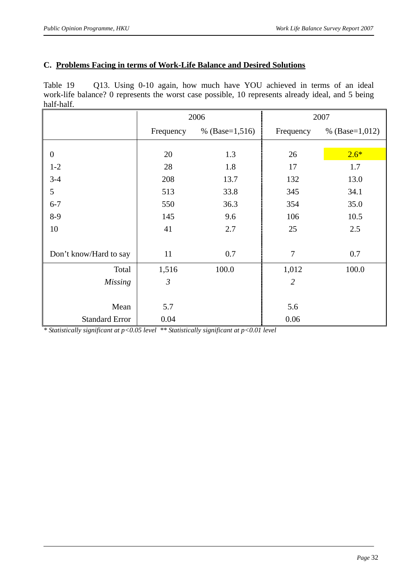## **C. Problems Facing in terms of Work-Life Balance and Desired Solutions**

| Table 19   |  |  |  |  |  | Q13. Using 0-10 again, how much have YOU achieved in terms of an ideal                            |  |  |  |
|------------|--|--|--|--|--|---------------------------------------------------------------------------------------------------|--|--|--|
|            |  |  |  |  |  | work-life balance? 0 represents the worst case possible, 10 represents already ideal, and 5 being |  |  |  |
| half-half. |  |  |  |  |  |                                                                                                   |  |  |  |

|                        |                | 2006               |                | 2007             |
|------------------------|----------------|--------------------|----------------|------------------|
|                        | Frequency      | % (Base= $1,516$ ) | Frequency      | % $(Base=1,012)$ |
|                        |                |                    |                |                  |
| $\boldsymbol{0}$       | 20             | 1.3                | 26             | $2.6*$           |
| $1 - 2$                | 28             | 1.8                | 17             | 1.7              |
| $3-4$                  | 208            | 13.7               | 132            | 13.0             |
| 5                      | 513            | 33.8               | 345            | 34.1             |
| $6 - 7$                | 550            | 36.3               | 354            | 35.0             |
| $8-9$                  | 145            | 9.6                | 106            | 10.5             |
| 10                     | 41             | 2.7                | 25             | 2.5              |
|                        |                |                    |                |                  |
| Don't know/Hard to say | 11             | 0.7                | 7              | 0.7              |
| Total                  | 1,516          | 100.0              | 1,012          | 100.0            |
| <b>Missing</b>         | $\mathfrak{Z}$ |                    | $\overline{2}$ |                  |
|                        |                |                    |                |                  |
| Mean                   | 5.7            |                    | 5.6            |                  |
| <b>Standard Error</b>  | 0.04           |                    | 0.06           |                  |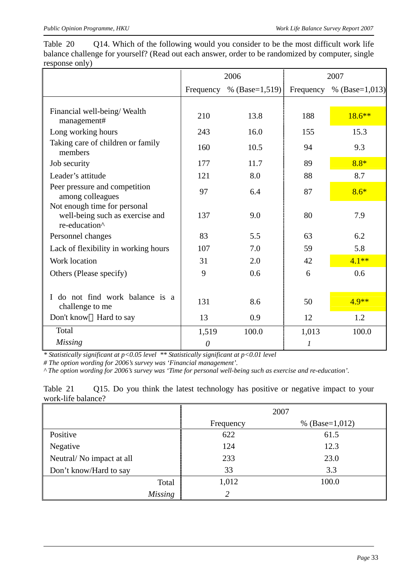Table 20 Q14. Which of the following would you consider to be the most difficult work life balance challenge for yourself? (Read out each answer, order to be randomized by computer, single response only)

|                                                                                  |          | 2006                       | 2007  |                          |  |
|----------------------------------------------------------------------------------|----------|----------------------------|-------|--------------------------|--|
|                                                                                  |          | Frequency % $(Base=1,519)$ |       | Frequency % (Base=1,013) |  |
|                                                                                  |          |                            |       |                          |  |
| Financial well-being/Wealth<br>management#                                       | 210      | 13.8                       | 188   | $18.6***$                |  |
| Long working hours                                                               | 243      | 16.0                       | 155   | 15.3                     |  |
| Taking care of children or family<br>members                                     | 160      | 10.5                       | 94    | 9.3                      |  |
| Job security                                                                     | 177      | 11.7                       | 89    | $8.8*$                   |  |
| Leader's attitude                                                                | 121      | 8.0                        | 88    | 8.7                      |  |
| Peer pressure and competition<br>among colleagues                                | 97       | 6.4                        | 87    | $8.6*$                   |  |
| Not enough time for personal<br>well-being such as exercise and<br>re-education^ | 137      | 9.0                        | 80    | 7.9                      |  |
| Personnel changes                                                                | 83       | 5.5                        | 63    | 6.2                      |  |
| Lack of flexibility in working hours                                             | 107      | 7.0                        | 59    | 5.8                      |  |
| Work location                                                                    | 31       | 2.0                        | 42    | $4.1**$                  |  |
| Others (Please specify)                                                          | 9        | 0.6                        | 6     | 0.6                      |  |
|                                                                                  |          |                            |       |                          |  |
| do not find work balance is a<br>challenge to me                                 | 131      | 8.6                        | 50    | $4.9**$                  |  |
| Don't know Hard to say                                                           | 13       | 0.9                        | 12    | 1.2                      |  |
| Total                                                                            | 1,519    | 100.0                      | 1,013 | 100.0                    |  |
| <b>Missing</b>                                                                   | $\theta$ |                            | 1     |                          |  |

*\* Statistically significant at p<0.05 level \*\* Statistically significant at p<0.01 level* 

*# The option wording for 2006's survey was 'Financial management'.* 

*^ The option wording for 2006's survey was 'Time for personal well-being such as exercise and re-education'.* 

Table 21 Q15. Do you think the latest technology has positive or negative impact to your work-life balance?

|                          |           | 2007               |
|--------------------------|-----------|--------------------|
|                          | Frequency | % (Base= $1,012$ ) |
| Positive                 | 622       | 61.5               |
| Negative                 | 124       | 12.3               |
| Neutral/No impact at all | 233       | 23.0               |
| Don't know/Hard to say   | 33        | 3.3                |
| Total                    | 1,012     | 100.0              |
| <b>Missing</b>           | 2         |                    |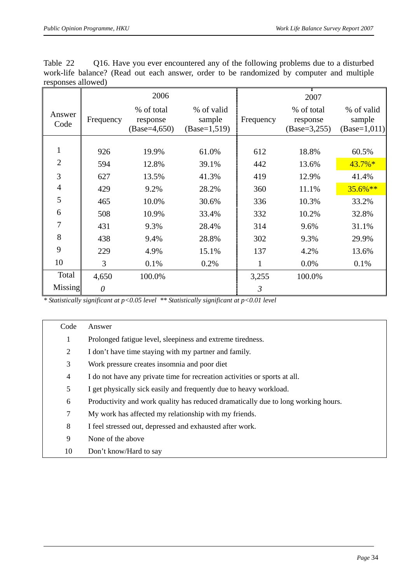| Table 22           |  |  |  |  | Q16. Have you ever encountered any of the following problems due to a disturbed           |  |
|--------------------|--|--|--|--|-------------------------------------------------------------------------------------------|--|
|                    |  |  |  |  | work-life balance? (Read out each answer, order to be randomized by computer and multiple |  |
| responses allowed) |  |  |  |  |                                                                                           |  |

|                |           | 2006                                      |                                         |           | 2007                                     |                                        |
|----------------|-----------|-------------------------------------------|-----------------------------------------|-----------|------------------------------------------|----------------------------------------|
| Answer<br>Code | Frequency | % of total<br>response<br>$(Base=4, 650)$ | % of valid<br>sample<br>$(Base=1, 519)$ | Frequency | % of total<br>response<br>$(Base=3,255)$ | % of valid<br>sample<br>$(Base=1,011)$ |
|                |           |                                           |                                         |           |                                          |                                        |
|                | 926       | 19.9%                                     | 61.0%                                   | 612       | 18.8%                                    | 60.5%                                  |
| $\overline{2}$ | 594       | 12.8%                                     | 39.1%                                   | 442       | 13.6%                                    | $43.7\%*$                              |
| 3              | 627       | 13.5%                                     | 41.3%                                   | 419       | 12.9%                                    | 41.4%                                  |
| $\overline{4}$ | 429       | 9.2%                                      | 28.2%                                   | 360       | 11.1%                                    | $35.6\%**$                             |
| 5              | 465       | 10.0%                                     | 30.6%                                   | 336       | 10.3%                                    | 33.2%                                  |
| 6              | 508       | 10.9%                                     | 33.4%                                   | 332       | 10.2%                                    | 32.8%                                  |
| 7              | 431       | 9.3%                                      | 28.4%                                   | 314       | 9.6%                                     | 31.1%                                  |
| 8              | 438       | 9.4%                                      | 28.8%                                   | 302       | 9.3%                                     | 29.9%                                  |
| 9              | 229       | 4.9%                                      | 15.1%                                   | 137       | 4.2%                                     | 13.6%                                  |
| 10             | 3         | 0.1%                                      | 0.2%                                    | 1         | 0.0%                                     | 0.1%                                   |
| Total          | 4,650     | 100.0%                                    |                                         | 3,255     | 100.0%                                   |                                        |
| Missing        | 0         |                                           |                                         | 3         |                                          |                                        |

| Code | Answer                                                                            |
|------|-----------------------------------------------------------------------------------|
| 1    | Prolonged fatigue level, sleepiness and extreme tiredness.                        |
| 2    | I don't have time staying with my partner and family.                             |
| 3    | Work pressure creates insomnia and poor diet                                      |
| 4    | I do not have any private time for recreation activities or sports at all.        |
| 5    | I get physically sick easily and frequently due to heavy workload.                |
| 6    | Productivity and work quality has reduced dramatically due to long working hours. |
| 7    | My work has affected my relationship with my friends.                             |
| 8    | I feel stressed out, depressed and exhausted after work.                          |
| 9    | None of the above                                                                 |
| 10   | Don't know/Hard to say                                                            |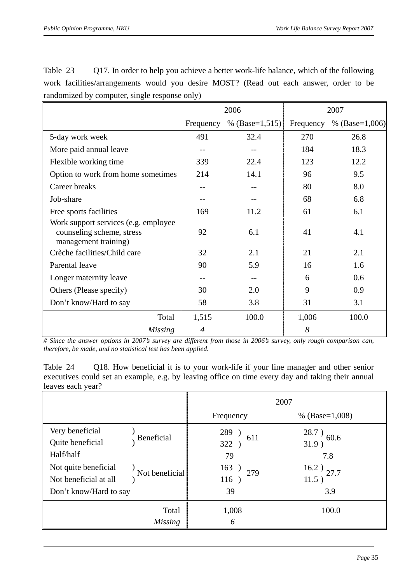| Table 23 | Q17. In order to help you achieve a better work-life balance, which of the following   |  |  |  |  |  |  |
|----------|----------------------------------------------------------------------------------------|--|--|--|--|--|--|
|          | work facilities/arrangements would you desire MOST? (Read out each answer, order to be |  |  |  |  |  |  |
|          | randomized by computer, single response only)                                          |  |  |  |  |  |  |

|                                                                                            |                | 2006                       | 2007  |                            |  |
|--------------------------------------------------------------------------------------------|----------------|----------------------------|-------|----------------------------|--|
|                                                                                            |                | Frequency % $(Base=1,515)$ |       | Frequency % $(Base=1,006)$ |  |
| 5-day work week                                                                            | 491            | 32.4                       | 270   | 26.8                       |  |
| More paid annual leave                                                                     |                |                            | 184   | 18.3                       |  |
| Flexible working time                                                                      | 339            | 22.4                       | 123   | 12.2                       |  |
| Option to work from home sometimes                                                         | 214            | 14.1                       | 96    | 9.5                        |  |
| Career breaks                                                                              |                |                            | 80    | 8.0                        |  |
| Job-share                                                                                  |                |                            | 68    | 6.8                        |  |
| Free sports facilities                                                                     | 169            | 11.2                       | 61    | 6.1                        |  |
| Work support services (e.g. employee)<br>counseling scheme, stress<br>management training) | 92             | 6.1                        | 41    | 4.1                        |  |
| Crèche facilities/Child care                                                               | 32             | 2.1                        | 21    | 2.1                        |  |
| Parental leave                                                                             | 90             | 5.9                        | 16    | 1.6                        |  |
| Longer maternity leave                                                                     | $- -$          | $- -$                      | 6     | 0.6                        |  |
| Others (Please specify)                                                                    | 30             | 2.0                        | 9     | 0.9                        |  |
| Don't know/Hard to say                                                                     | 58             | 3.8                        | 31    | 3.1                        |  |
| Total                                                                                      | 1,515          | 100.0                      | 1,006 | 100.0                      |  |
| Missing                                                                                    | $\overline{4}$ |                            | 8     |                            |  |

*# Since the answer options in 2007's survey are different from those in 2006's survey, only rough comparison can, therefore, be made, and no statistical test has been applied.*

Table 24 Q18. How beneficial it is to your work-life if your line manager and other senior executives could set an example, e.g. by leaving office on time every day and taking their annual leaves each year?

|                                                                                                                                   | 2007                                           |                                                                |  |  |  |
|-----------------------------------------------------------------------------------------------------------------------------------|------------------------------------------------|----------------------------------------------------------------|--|--|--|
|                                                                                                                                   | Frequency                                      | % $(Base=1,008)$                                               |  |  |  |
| Very beneficial<br>Beneficial<br>Quite beneficial<br>Half/half<br>Not quite beneficial<br>Not beneficial<br>Not beneficial at all | 289<br>611<br>322)<br>79<br>163<br>279<br>116) | $^{28.7}$ ) $_{60.6}$<br>31.9)<br>7.8<br>$16.2)$ 27.7<br>11.5) |  |  |  |
| Don't know/Hard to say                                                                                                            | 39                                             | 3.9                                                            |  |  |  |
| Total<br><b>Missing</b>                                                                                                           | 1,008<br>6                                     | 100.0                                                          |  |  |  |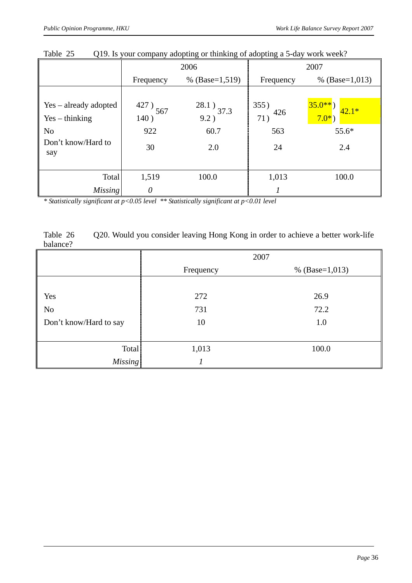|                           | 2006          |                  |            | 2007                |
|---------------------------|---------------|------------------|------------|---------------------|
|                           | Frequency     | % $(Base=1,519)$ | Frequency  | % $(Base=1,013)$    |
|                           |               |                  |            |                     |
| Yes – already adopted     | $^{427)}$ 567 | $^{28.1}$ ) 37.3 | 355)       | $35.0**$<br>$42.1*$ |
| $Yes - thinking$          | 140)          | 9.2)             | 426<br>71) | $7.0^{*}$ )         |
| N <sub>0</sub>            | 922           | 60.7             | 563        | $55.6*$             |
| Don't know/Hard to<br>say | 30            | 2.0              | 24         | 2.4                 |
| Total                     | 1,519         | 100.0            | 1,013      | 100.0               |
| <i>Missing</i>            | $\theta$      |                  |            |                     |

Table 25 Q19. Is your company adopting or thinking of adopting a 5-day work week?

*\* Statistically significant at p<0.05 level \*\* Statistically significant at p<0.01 level* 

| Table 26 | Q20. Would you consider leaving Hong Kong in order to achieve a better work-life |
|----------|----------------------------------------------------------------------------------|
| balance? |                                                                                  |

|                        | 2007      |                    |  |  |
|------------------------|-----------|--------------------|--|--|
|                        | Frequency | % (Base= $1,013$ ) |  |  |
|                        |           |                    |  |  |
| Yes                    | 272       | 26.9               |  |  |
| N <sub>0</sub>         | 731       | 72.2               |  |  |
| Don't know/Hard to say | 10        | 1.0                |  |  |
|                        |           |                    |  |  |
| Total                  | 1,013     | 100.0              |  |  |
| <b>Missing</b>         |           |                    |  |  |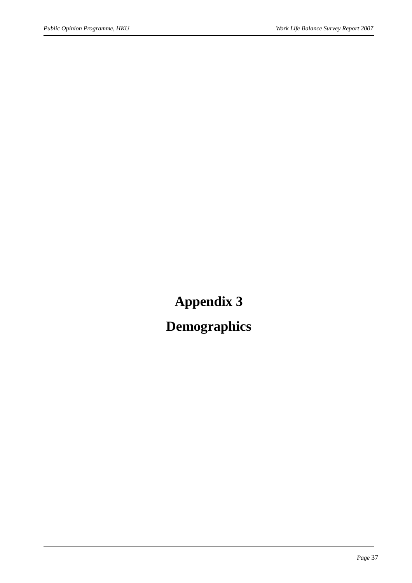# **Appendix 3**

## **Demographics**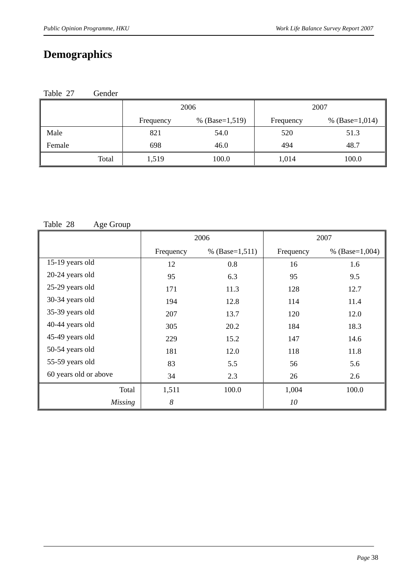### **Demographics**

| Table 27 | Gender |
|----------|--------|
|----------|--------|

|        |       | 2006<br>% $(Base=1,519)$<br>Frequency |       | 2007             |
|--------|-------|---------------------------------------|-------|------------------|
|        |       |                                       |       | % $(Base=1,014)$ |
| Male   | 821   | 54.0                                  | 520   | 51.3             |
| Female | 698   | 46.0                                  | 494   | 48.7             |
| Total  | 1,519 | 100.0                                 | 1,014 | 100.0            |

#### Table 28 Age Group

|                       | 2006      |                  |           | 2007             |
|-----------------------|-----------|------------------|-----------|------------------|
|                       | Frequency | % $(Base=1,511)$ | Frequency | % $(Base=1,004)$ |
| 15-19 years old       | 12        | 0.8              | 16        | 1.6              |
| 20-24 years old       | 95        | 6.3              | 95        | 9.5              |
| 25-29 years old       | 171       | 11.3             | 128       | 12.7             |
| 30-34 years old       | 194       | 12.8             | 114       | 11.4             |
| 35-39 years old       | 207       | 13.7             | 120       | 12.0             |
| 40-44 years old       | 305       | 20.2             | 184       | 18.3             |
| 45-49 years old       | 229       | 15.2             | 147       | 14.6             |
| 50-54 years old       | 181       | 12.0             | 118       | 11.8             |
| 55-59 years old       | 83        | 5.5              | 56        | 5.6              |
| 60 years old or above | 34        | 2.3              | 26        | 2.6              |
| Total                 | 1,511     | 100.0            | 1,004     | 100.0            |
| <b>Missing</b>        | 8         |                  | 10        |                  |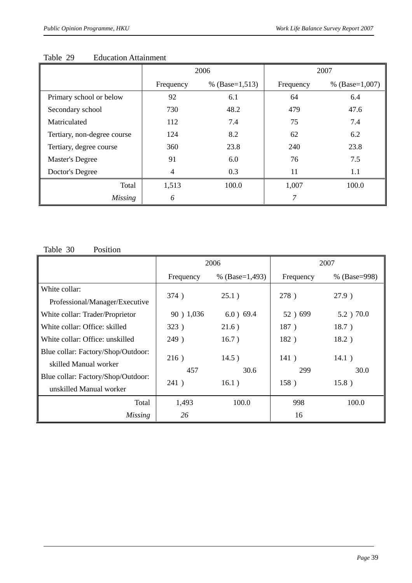|                             | 2006      |                  | 2007      |                  |
|-----------------------------|-----------|------------------|-----------|------------------|
|                             | Frequency | % $(Base=1,513)$ | Frequency | % $(Base=1,007)$ |
| Primary school or below     | 92        | 6.1              | 64        | 6.4              |
| Secondary school            | 730       | 48.2             | 479       | 47.6             |
| Matriculated                | 112       | 7.4              | 75        | 7.4              |
| Tertiary, non-degree course | 124       | 8.2              | 62        | 6.2              |
| Tertiary, degree course     | 360       | 23.8             | 240       | 23.8             |
| <b>Master's Degree</b>      | 91        | 6.0              | 76        | 7.5              |
| Doctor's Degree             | 4         | 0.3              | 11        | 1.1              |
| Total                       | 1,513     | 100.0            | 1,007     | 100.0            |
| <b>Missing</b>              | 6         |                  | 7         |                  |

#### Table 29 Education Attainment

Table 30 Position

|                                    |            | 2006             | 2007      |              |
|------------------------------------|------------|------------------|-----------|--------------|
|                                    | Frequency  | % $(Base=1,493)$ | Frequency | % (Base=998) |
| White collar:                      | 374)       | 25.1)            | 278)      | 27.9)        |
| Professional/Manager/Executive     |            |                  |           |              |
| White collar: Trader/Proprietor    | 90 ) 1,036 | $6.0$ ) 69.4     | 52) 699   | 5.2 ) 70.0   |
| White collar: Office: skilled      | 323)       | 21.6)            | 187)      | 18.7)        |
| White collar: Office: unskilled    | 249)       | 16.7)            | 182)      | 18.2)        |
| Blue collar: Factory/Shop/Outdoor: | 216)       | 14.5)            | 141)      | 14.1)        |
| skilled Manual worker              | 457        | 30.6             | 299       | 30.0         |
| Blue collar: Factory/Shop/Outdoor: | 241)       | 16.1)            | 158)      | 15.8)        |
| unskilled Manual worker            |            |                  |           |              |
| Total                              | 1,493      | 100.0            | 998       | 100.0        |
| Missing                            | 26         |                  | 16        |              |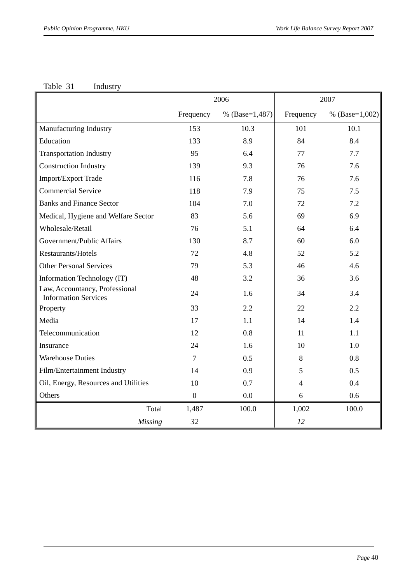#### Table 31 Industry

|                                                               |                  | 2006             |                | 2007             |
|---------------------------------------------------------------|------------------|------------------|----------------|------------------|
|                                                               | Frequency        | % $(Base=1,487)$ | Frequency      | % $(Base=1,002)$ |
| Manufacturing Industry                                        | 153              | 10.3             | 101            | 10.1             |
| Education                                                     | 133              | 8.9              | 84             | 8.4              |
| <b>Transportation Industry</b>                                | 95               | 6.4              | 77             | 7.7              |
| <b>Construction Industry</b>                                  | 139              | 9.3              | 76             | 7.6              |
| Import/Export Trade                                           | 116              | 7.8              | 76             | 7.6              |
| <b>Commercial Service</b>                                     | 118              | 7.9              | 75             | 7.5              |
| <b>Banks and Finance Sector</b>                               | 104              | 7.0              | 72             | 7.2              |
| Medical, Hygiene and Welfare Sector                           | 83               | 5.6              | 69             | 6.9              |
| Wholesale/Retail                                              | 76               | 5.1              | 64             | 6.4              |
| Government/Public Affairs                                     | 130              | 8.7              | 60             | 6.0              |
| Restaurants/Hotels                                            | 72               | 4.8              | 52             | 5.2              |
| <b>Other Personal Services</b>                                | 79               | 5.3              | 46             | 4.6              |
| Information Technology (IT)                                   | 48               | 3.2              | 36             | 3.6              |
| Law, Accountancy, Professional<br><b>Information Services</b> | 24               | 1.6              | 34             | 3.4              |
| Property                                                      | 33               | 2.2              | 22             | 2.2              |
| Media                                                         | 17               | 1.1              | 14             | 1.4              |
| Telecommunication                                             | 12               | 0.8              | 11             | 1.1              |
| Insurance                                                     | 24               | 1.6              | 10             | 1.0              |
| <b>Warehouse Duties</b>                                       | $\overline{7}$   | 0.5              | 8              | 0.8              |
| Film/Entertainment Industry                                   | 14               | 0.9              | 5              | 0.5              |
| Oil, Energy, Resources and Utilities                          | 10               | 0.7              | $\overline{4}$ | 0.4              |
| Others                                                        | $\boldsymbol{0}$ | 0.0              | 6              | 0.6              |
| Total                                                         | 1,487            | 100.0            | 1,002          | 100.0            |
| <b>Missing</b>                                                | 32               |                  | 12             |                  |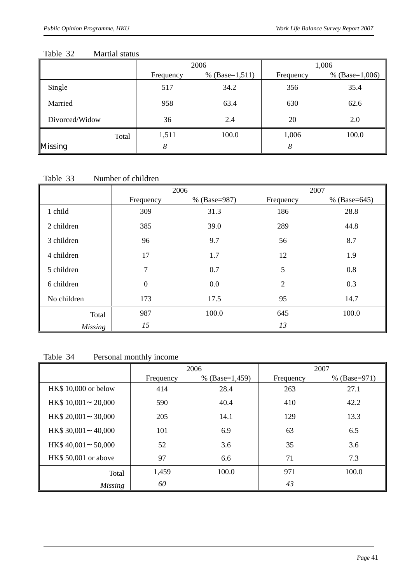#### Table 32Martial status

|                |       |           | 2006             |           | 1,006            |
|----------------|-------|-----------|------------------|-----------|------------------|
|                |       | Frequency | % $(Base=1,511)$ | Frequency | % $(Base=1,006)$ |
| Single         |       | 517       | 34.2             | 356       | 35.4             |
| Married        |       | 958       | 63.4             | 630       | 62.6             |
| Divorced/Widow |       | 36        | 2.4              | 20        | 2.0              |
|                | Total | 1,511     | 100.0            | 1,006     | 100.0            |
| Missing        |       | 8         |                  | 8         |                  |

#### Table 33 **Number of children**

|                |                  | 2006         | 2007           |                |  |
|----------------|------------------|--------------|----------------|----------------|--|
|                | Frequency        | % (Base=987) | Frequency      | % $(Base=645)$ |  |
| 1 child        | 309              | 31.3         | 186            | 28.8           |  |
| 2 children     | 385              | 39.0         | 289            | 44.8           |  |
| 3 children     | 96               | 9.7          | 56             | 8.7            |  |
| 4 children     | 17               | 1.7          | 12             | 1.9            |  |
| 5 children     | 7                | 0.7          | 5              | 0.8            |  |
| 6 children     | $\boldsymbol{0}$ | 0.0          | $\overline{2}$ | 0.3            |  |
| No children    | 173              | 17.5         | 95             | 14.7           |  |
| Total          | 987              | 100.0        | 645            | 100.0          |  |
| <b>Missing</b> | 15               |              | 13             |                |  |

#### Table 34 Personal monthly income

|                       | 2006      |                  | 2007      |              |
|-----------------------|-----------|------------------|-----------|--------------|
|                       | Frequency | % $(Base=1,459)$ | Frequency | % (Base=971) |
| HK\$ 10,000 or below  | 414       | 28.4             | 263       | 27.1         |
| HK\$ 10,001<br>20,000 | 590       | 40.4             | 410       | 42.2         |
| HK\$ 20,001<br>30,000 | 205       | 14.1             | 129       | 13.3         |
| HK\$ 30,001<br>40,000 | 101       | 6.9              | 63        | 6.5          |
| HK\$40,001<br>50,000  | 52        | 3.6              | 35        | 3.6          |
| HK\$ 50,001 or above  | 97        | 6.6              | 71        | 7.3          |
| Total                 | 1,459     | 100.0            | 971       | 100.0        |
| <b>Missing</b>        | 60        |                  | 43        |              |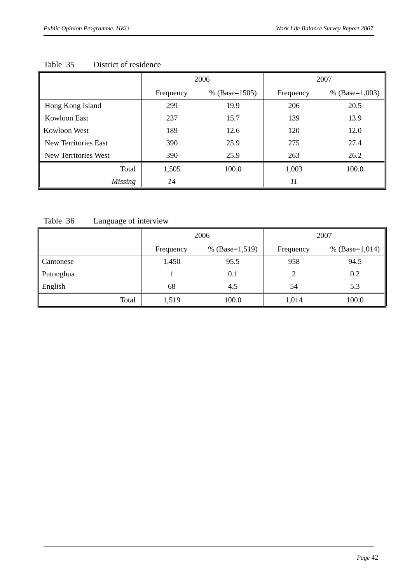|                             | 2006      |                 | 2007      |                    |
|-----------------------------|-----------|-----------------|-----------|--------------------|
|                             | Frequency | % $(Base=1505)$ | Frequency | % (Base= $1,003$ ) |
| Hong Kong Island            | 299       | 19.9            | 206       | 20.5               |
| Kowloon East                | 237       | 15.7            | 139       | 13.9               |
| Kowloon West                | 189       | 12.6            | 120       | 12.0               |
| <b>New Territories East</b> | 390       | 25.9            | 275       | 27.4               |
| New Territories West        | 390       | 25.9            | 263       | 26.2               |
| Total                       | 1,505     | 100.0           | 1,003     | 100.0              |
| <b>Missing</b>              | 14        |                 | 11        |                    |

#### Table 35District of residence

#### Table 36 Language of interview

|           | 2006      |                    | 2007      |                    |
|-----------|-----------|--------------------|-----------|--------------------|
|           | Frequency | % (Base= $1,519$ ) | Frequency | % (Base= $1,014$ ) |
| Cantonese | 1,450     | 95.5               | 958       | 94.5               |
| Putonghua |           | 0.1                |           | 0.2                |
| English   | 68        | 4.5                | 54        | 5.3                |
| Total     | 1,519     | 100.0              | 1,014     | 100.0              |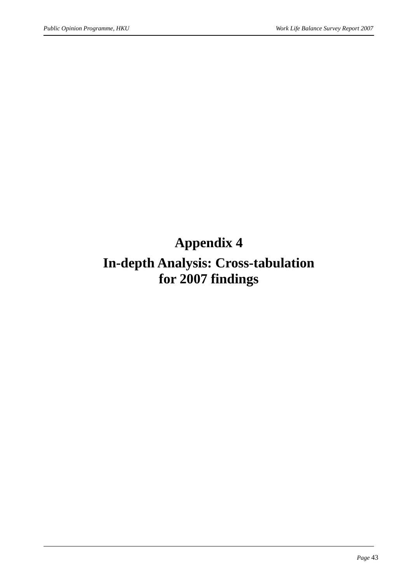# **Appendix 4**

### **In-depth Analysis: Cross-tabulation for 2007 findings**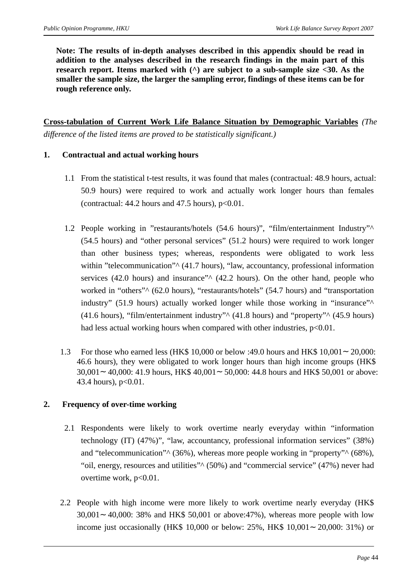**Note: The results of in-depth analyses described in this appendix should be read in addition to the analyses described in the research findings in the main part of this research report. Items marked with (^) are subject to a sub-sample size <30. As the smaller the sample size, the larger the sampling error, findings of these items can be for rough reference only.** 

**Cross-tabulation of Current Work Life Balance Situation by Demographic Variables** *(The difference of the listed items are proved to be statistically significant.)*

#### **1. Contractual and actual working hours**

- 1.1 From the statistical t-test results, it was found that males (contractual: 48.9 hours, actual: 50.9 hours) were required to work and actually work longer hours than females (contractual:  $44.2$  hours and  $47.5$  hours),  $p<0.01$ .
- 1.2 People working in "restaurants/hotels (54.6 hours)", "film/entertainment Industry"^ (54.5 hours) and "other personal services" (51.2 hours) were required to work longer than other business types; whereas, respondents were obligated to work less within "telecommunication"<sup>^</sup> (41.7 hours), "law, accountancy, professional information services (42.0 hours) and insurance" $\wedge$  (42.2 hours). On the other hand, people who worked in "others"<sup>^</sup> (62.0 hours), "restaurants/hotels" (54.7 hours) and "transportation industry" (51.9 hours) actually worked longer while those working in "insurance"<sup>^</sup> (41.6 hours), "film/entertainment industry" $\wedge$  (41.8 hours) and "property" $\wedge$  (45.9 hours) had less actual working hours when compared with other industries,  $p<0.01$ .
- 1.3 For those who earned less (HK\$ 10,000 or below :49.0 hours and HK\$ 10,001 20,000: 46.6 hours), they were obligated to work longer hours than high income groups (HK\$ 30,001 40,000: 41.9 hours, HK\$ 40,001 50,000: 44.8 hours and HK\$ 50,001 or above: 43.4 hours), p<0.01.

#### **2. Frequency of over-time working**

- 2.1 Respondents were likely to work overtime nearly everyday within "information technology (IT) (47%)", "law, accountancy, professional information services" (38%) and "telecommunication" $\land$  (36%), whereas more people working in "property" $\land$  (68%), "oil, energy, resources and utilities" $\wedge$  (50%) and "commercial service" (47%) never had overtime work, p<0.01.
- 2.2 People with high income were more likely to work overtime nearly everyday (HK\$ 30,001 40,000: 38% and HK\$ 50,001 or above:47%), whereas more people with low income just occasionally (HK\$ 10,000 or below: 25%, HK\$ 10,001 20,000: 31%) or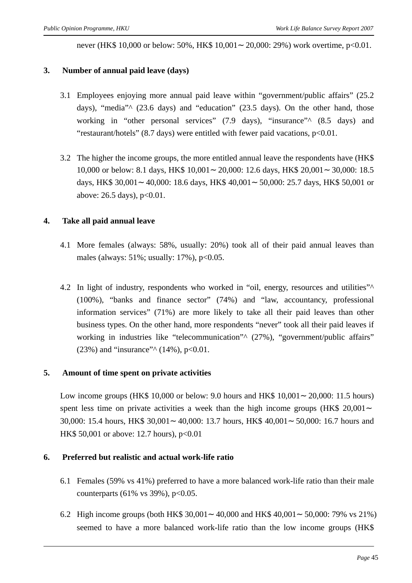never (HK\$ 10,000 or below: 50%, HK\$ 10,001 20,000: 29%) work overtime, p<0.01.

#### **3. Number of annual paid leave (days)**

- 3.1 Employees enjoying more annual paid leave within "government/public affairs" (25.2 days), "media"^ (23.6 days) and "education" (23.5 days). On the other hand, those working in "other personal services" (7.9 days), "insurance" (8.5 days) and "restaurant/hotels" (8.7 days) were entitled with fewer paid vacations, p<0.01.
- 3.2 The higher the income groups, the more entitled annual leave the respondents have (HK\$ 10,000 or below: 8.1 days, HK\$ 10,001 20,000: 12.6 days, HK\$ 20,001 30,000: 18.5 days, HK\$ 30,001 40,000: 18.6 days, HK\$ 40,001 50,000: 25.7 days, HK\$ 50,001 or above: 26.5 days), p<0.01.

#### **4. Take all paid annual leave**

- 4.1 More females (always: 58%, usually: 20%) took all of their paid annual leaves than males (always:  $51\%$ ; usually:  $17\%$ ),  $p<0.05$ .
- 4.2 In light of industry, respondents who worked in "oil, energy, resources and utilities"<sup>^</sup> (100%), "banks and finance sector" (74%) and "law, accountancy, professional information services" (71%) are more likely to take all their paid leaves than other business types. On the other hand, more respondents "never" took all their paid leaves if working in industries like "telecommunication" (27%), "government/public affairs" (23%) and "insurance" $\land$  (14%), p<0.01.

#### **5. Amount of time spent on private activities**

Low income groups (HK\$ 10,000 or below: 9.0 hours and HK\$ 10,001 20,000: 11.5 hours) spent less time on private activities a week than the high income groups (HK\$ 20,001) 30,000: 15.4 hours, HK\$ 30,001 40,000: 13.7 hours, HK\$ 40,001 50,000: 16.7 hours and HK\$ 50,001 or above: 12.7 hours), p<0.01

#### **6. Preferred but realistic and actual work-life ratio**

- 6.1 Females (59% vs 41%) preferred to have a more balanced work-life ratio than their male counterparts (61% vs 39%),  $p<0.05$ .
- 6.2 High income groups (both HK\$ 30,001 40,000 and HK\$ 40,001 50,000: 79% vs 21%) seemed to have a more balanced work-life ratio than the low income groups (HK\$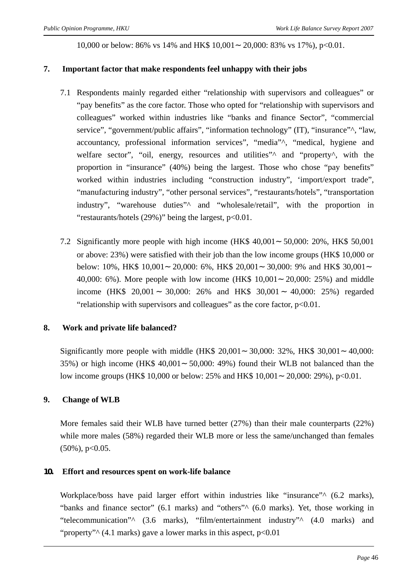10,000 or below: 86% vs 14% and HK\$ 10,001 20,000: 83% vs 17%), p<0.01.

#### **7. Important factor that make respondents feel unhappy with their jobs**

- 7.1 Respondents mainly regarded either "relationship with supervisors and colleagues" or "pay benefits" as the core factor. Those who opted for "relationship with supervisors and colleagues" worked within industries like "banks and finance Sector", "commercial service", "government/public affairs", "information technology" (IT), "insurance"^, "law, accountancy, professional information services", "media"^, "medical, hygiene and welfare sector", "oil, energy, resources and utilities"<sup> $\wedge$ </sup> and "property<sup> $\wedge$ </sup>, with the proportion in "insurance" (40%) being the largest. Those who chose "pay benefits" worked within industries including "construction industry", 'import/export trade", "manufacturing industry", "other personal services", "restaurants/hotels", "transportation industry", "warehouse duties"<sup>^</sup> and "wholesale/retail", with the proportion in "restaurants/hotels (29%)" being the largest, p<0.01.
- 7.2 Significantly more people with high income (HK\$ 40,001 50,000: 20%, HK\$ 50,001 or above: 23%) were satisfied with their job than the low income groups (HK\$ 10,000 or below: 10%, HK\$ 10,001 20,000: 6%, HK\$ 20,001 30,000: 9% and HK\$ 30,001 40,000: 6%). More people with low income (HK\$ 10,001 20,000: 25%) and middle income (HK\$ 20,001 30,000: 26% and HK\$ 30,001 40,000: 25%) regarded "relationship with supervisors and colleagues" as the core factor,  $p<0.01$ .

#### **8. Work and private life balanced?**

Significantly more people with middle (HK\$ 20,001 30,000: 32%, HK\$ 30,001 40,000: 35%) or high income (HK\$ 40,001 50,000: 49%) found their WLB not balanced than the low income groups (HK\$ 10,000 or below: 25% and HK\$ 10,001 20,000: 29%), p<0.01.

#### **9. Change of WLB**

More females said their WLB have turned better (27%) than their male counterparts (22%) while more males (58%) regarded their WLB more or less the same/unchanged than females  $(50\%)$ , p<0.05.

#### **10. Effort and resources spent on work-life balance**

Workplace/boss have paid larger effort within industries like "insurance"<sup>^</sup> (6.2 marks), "banks and finance sector" (6.1 marks) and "others"<sup>^</sup> (6.0 marks). Yet, those working in "telecommunication"^ (3.6 marks), "film/entertainment industry"^ (4.0 marks) and "property"<sup> $\wedge$ </sup> (4.1 marks) gave a lower marks in this aspect, p<0.01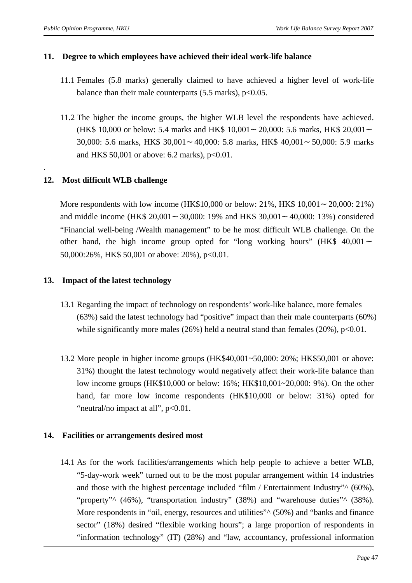#### **11. Degree to which employees have achieved their ideal work-life balance**

- 11.1 Females (5.8 marks) generally claimed to have achieved a higher level of work-life balance than their male counterparts  $(5.5 \text{ marks})$ , p<0.05.
- 11.2 The higher the income groups, the higher WLB level the respondents have achieved. (HK\$ 10,000 or below: 5.4 marks and HK\$ 10,001 20,000: 5.6 marks, HK\$ 20,001 30,000: 5.6 marks, HK\$ 30,001 40,000: 5.8 marks, HK\$ 40,001 50,000: 5.9 marks and HK\$ 50,001 or above: 6.2 marks),  $p < 0.01$ .

#### **12. Most difficult WLB challenge**

.

More respondents with low income (HK\$10,000 or below: 21%, HK\$ 10,001 20,000: 21%) and middle income (HK\$ 20,001 30,000: 19% and HK\$ 30,001 40,000: 13%) considered "Financial well-being /Wealth management" to be he most difficult WLB challenge. On the other hand, the high income group opted for "long working hours" (HK\$ 40,001 50,000:26%, HK\$ 50,001 or above: 20%), p<0.01.

#### **13. Impact of the latest technology**

- 13.1 Regarding the impact of technology on respondents' work-like balance, more females (63%) said the latest technology had "positive" impact than their male counterparts (60%) while significantly more males  $(26%)$  held a neutral stand than females  $(20%), p<0.01.$
- 13.2 More people in higher income groups (HK\$40,001~50,000: 20%; HK\$50,001 or above: 31%) thought the latest technology would negatively affect their work-life balance than low income groups (HK\$10,000 or below: 16%; HK\$10,001~20,000: 9%). On the other hand, far more low income respondents (HK\$10,000 or below: 31%) opted for "neutral/no impact at all",  $p<0.01$ .

#### **14. Facilities or arrangements desired most**

14.1 As for the work facilities/arrangements which help people to achieve a better WLB, "5-day-work week" turned out to be the most popular arrangement within 14 industries and those with the highest percentage included "film / Entertainment Industry" $\wedge$  (60%), "property"<sup> $\land$ </sup> (46%), "transportation industry" (38%) and "warehouse duties" $\land$  (38%). More respondents in "oil, energy, resources and utilities"<sup>^</sup> (50%) and "banks and finance sector" (18%) desired "flexible working hours"; a large proportion of respondents in "information technology" (IT) (28%) and "law, accountancy, professional information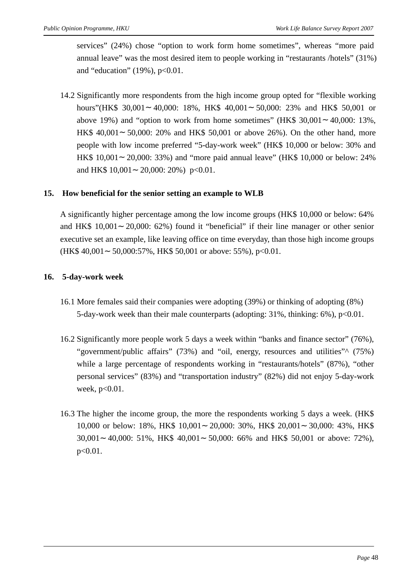services" (24%) chose "option to work form home sometimes", whereas "more paid annual leave" was the most desired item to people working in "restaurants /hotels" (31%) and "education"  $(19\%)$ , p<0.01.

14.2 Significantly more respondents from the high income group opted for "flexible working hours"(HK\$ 30,001 40,000: 18%, HK\$ 40,001 50,000: 23% and HK\$ 50,001 or above 19%) and "option to work from home sometimes" (HK\$ 30,001 40,000: 13%, HK\$ 40,001 50,000: 20% and HK\$ 50,001 or above 26%). On the other hand, more people with low income preferred "5-day-work week" (HK\$ 10,000 or below: 30% and HK\$ 10,001 20,000: 33%) and "more paid annual leave" (HK\$ 10,000 or below: 24% and HK\$ 10,001 20,000: 20%) p<0.01.

#### **15. How beneficial for the senior setting an example to WLB**

A significantly higher percentage among the low income groups (HK\$ 10,000 or below: 64% and HK\$ 10,001 20,000: 62%) found it "beneficial" if their line manager or other senior executive set an example, like leaving office on time everyday, than those high income groups  $(HK$ 40,001 50,000:57\%, HK$ 50,001 or above: 55\%, p<0.01.$ 

#### **16. 5-day-work week**

- 16.1 More females said their companies were adopting (39%) or thinking of adopting (8%) 5-day-work week than their male counterparts (adopting: 31%, thinking: 6%), p<0.01.
- 16.2 Significantly more people work 5 days a week within "banks and finance sector" (76%), "government/public affairs" (73%) and "oil, energy, resources and utilities" (75%) while a large percentage of respondents working in "restaurants/hotels" (87%), "other personal services" (83%) and "transportation industry" (82%) did not enjoy 5-day-work week,  $p<0.01$ .
- 16.3 The higher the income group, the more the respondents working 5 days a week. (HK\$ 10,000 or below: 18%, HK\$ 10,001 20,000: 30%, HK\$ 20,001 30,000: 43%, HK\$ 30,001 40,000: 51%, HK\$ 40,001 50,000: 66% and HK\$ 50,001 or above: 72%), p<0.01.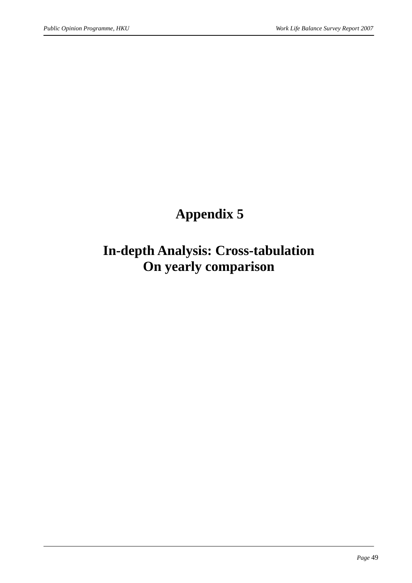# **Appendix 5**

### **In-depth Analysis: Cross-tabulation On yearly comparison**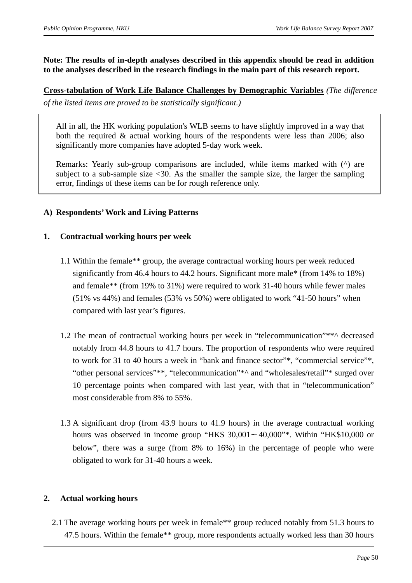#### **Note: The results of in-depth analyses described in this appendix should be read in addition to the analyses described in the research findings in the main part of this research report.**

#### **Cross-tabulation of Work Life Balance Challenges by Demographic Variables** *(The difference of the listed items are proved to be statistically significant.)*

All in all, the HK working population's WLB seems to have slightly improved in a way that both the required & actual working hours of the respondents were less than 2006; also significantly more companies have adopted 5-day work week.

Remarks: Yearly sub-group comparisons are included, while items marked with (^) are subject to a sub-sample size  $\leq 30$ . As the smaller the sample size, the larger the sampling error, findings of these items can be for rough reference only.

#### **A) Respondents' Work and Living Patterns**

#### **1. Contractual working hours per week**

- 1.1 Within the female\*\* group, the average contractual working hours per week reduced significantly from 46.4 hours to 44.2 hours. Significant more male\* (from 14% to 18%) and female\*\* (from 19% to 31%) were required to work 31-40 hours while fewer males (51% vs 44%) and females (53% vs 50%) were obligated to work "41-50 hours" when compared with last year's figures.
- 1.2 The mean of contractual working hours per week in "telecommunication"\*\*^ decreased notably from 44.8 hours to 41.7 hours. The proportion of respondents who were required to work for 31 to 40 hours a week in "bank and finance sector"\*, "commercial service"\*, "other personal services"\*\*, "telecommunication"\*^ and "wholesales/retail"\* surged over 10 percentage points when compared with last year, with that in "telecommunication" most considerable from 8% to 55%.
- 1.3 A significant drop (from 43.9 hours to 41.9 hours) in the average contractual working hours was observed in income group "HK\$ 30,001 40,000"\*. Within "HK\$10,000 or below", there was a surge (from 8% to 16%) in the percentage of people who were obligated to work for 31-40 hours a week.

#### **2. Actual working hours**

2.1 The average working hours per week in female\*\* group reduced notably from 51.3 hours to 47.5 hours. Within the female\*\* group, more respondents actually worked less than 30 hours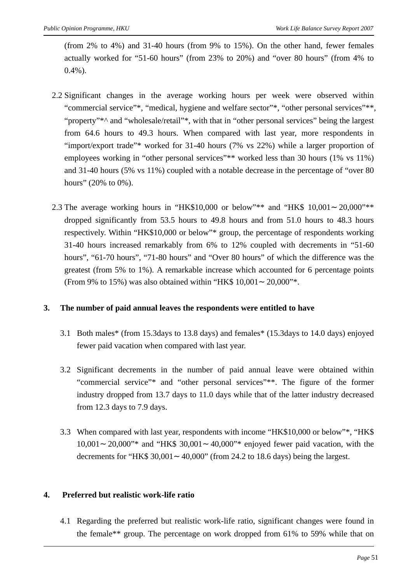(from 2% to 4%) and 31-40 hours (from 9% to 15%). On the other hand, fewer females actually worked for "51-60 hours" (from 23% to 20%) and "over 80 hours" (from 4% to  $0.4\%$ ).

- 2.2 Significant changes in the average working hours per week were observed within "commercial service"\*, "medical, hygiene and welfare sector"\*, "other personal services"\*\*, "property"\*^ and "wholesale/retail"\*, with that in "other personal services" being the largest from 64.6 hours to 49.3 hours. When compared with last year, more respondents in "import/export trade"\* worked for 31-40 hours (7% vs 22%) while a larger proportion of employees working in "other personal services"\*\* worked less than 30 hours (1% vs 11%) and 31-40 hours (5% vs 11%) coupled with a notable decrease in the percentage of "over 80 hours" (20% to 0%).
- 2.3 The average working hours in "HK\$10,000 or below"\*\* and "HK\$ 10,001 20,000"\*\* dropped significantly from 53.5 hours to 49.8 hours and from 51.0 hours to 48.3 hours respectively. Within "HK\$10,000 or below"\* group, the percentage of respondents working 31-40 hours increased remarkably from 6% to 12% coupled with decrements in "51-60 hours", "61-70 hours", "71-80 hours" and "Over 80 hours" of which the difference was the greatest (from 5% to 1%). A remarkable increase which accounted for 6 percentage points (From 9% to 15%) was also obtained within "HK\$ 10,001 20,000"\*.

#### **3. The number of paid annual leaves the respondents were entitled to have**

- 3.1 Both males\* (from 15.3days to 13.8 days) and females\* (15.3days to 14.0 days) enjoyed fewer paid vacation when compared with last year.
- 3.2 Significant decrements in the number of paid annual leave were obtained within "commercial service"\* and "other personal services"\*\*. The figure of the former industry dropped from 13.7 days to 11.0 days while that of the latter industry decreased from 12.3 days to 7.9 days.
- 3.3 When compared with last year, respondents with income "HK\$10,000 or below"\*, "HK\$ 10,001 20,000"\* and "HK\$ 30,001 40,000"\* enjoyed fewer paid vacation, with the decrements for "HK\$ 30,001 40,000" (from 24.2 to 18.6 days) being the largest.

#### **4. Preferred but realistic work-life ratio**

4.1 Regarding the preferred but realistic work-life ratio, significant changes were found in the female\*\* group. The percentage on work dropped from 61% to 59% while that on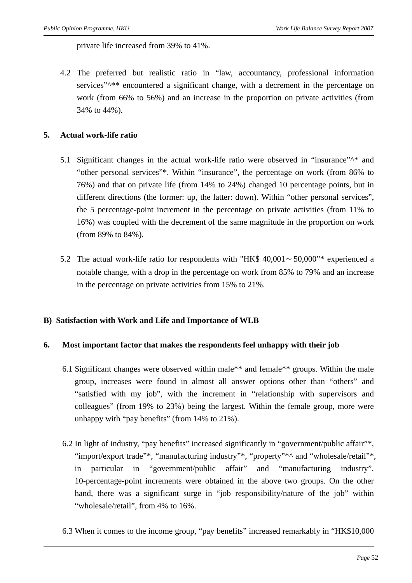private life increased from 39% to 41%.

4.2 The preferred but realistic ratio in "law, accountancy, professional information services"^\*\* encountered a significant change, with a decrement in the percentage on work (from 66% to 56%) and an increase in the proportion on private activities (from 34% to 44%).

#### **5. Actual work-life ratio**

- 5.1 Significant changes in the actual work-life ratio were observed in "insurance"^\* and "other personal services"\*. Within "insurance", the percentage on work (from 86% to 76%) and that on private life (from 14% to 24%) changed 10 percentage points, but in different directions (the former: up, the latter: down). Within "other personal services", the 5 percentage-point increment in the percentage on private activities (from 11% to 16%) was coupled with the decrement of the same magnitude in the proportion on work (from 89% to 84%).
- 5.2 The actual work-life ratio for respondents with "HK\$ 40,001 50,000"\* experienced a notable change, with a drop in the percentage on work from 85% to 79% and an increase in the percentage on private activities from 15% to 21%.

#### **B) Satisfaction with Work and Life and Importance of WLB**

#### **6. Most important factor that makes the respondents feel unhappy with their job**

- 6.1 Significant changes were observed within male\*\* and female\*\* groups. Within the male group, increases were found in almost all answer options other than "others" and "satisfied with my job", with the increment in "relationship with supervisors and colleagues" (from 19% to 23%) being the largest. Within the female group, more were unhappy with "pay benefits" (from 14% to 21%).
- 6.2 In light of industry, "pay benefits" increased significantly in "government/public affair"\*, "import/export trade"\*, "manufacturing industry"\*, "property"\*^ and "wholesale/retail"\*, in particular in "government/public affair" and "manufacturing industry". 10-percentage-point increments were obtained in the above two groups. On the other hand, there was a significant surge in "job responsibility/nature of the job" within "wholesale/retail", from 4% to 16%.
- 6.3 When it comes to the income group, "pay benefits" increased remarkably in "HK\$10,000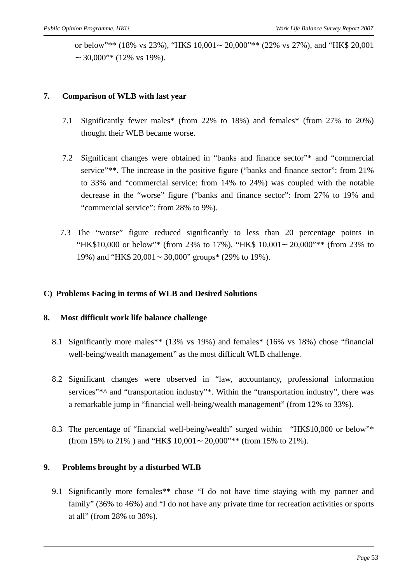or below"\*\* (18% vs 23%), "HK\$ 10,001 20,000"\*\* (22% vs 27%), and "HK\$ 20,001 30,000"\* (12% vs 19%).

#### **7. Comparison of WLB with last year**

- 7.1 Significantly fewer males\* (from 22% to 18%) and females\* (from 27% to 20%) thought their WLB became worse.
- 7.2 Significant changes were obtained in "banks and finance sector"\* and "commercial service"\*\*. The increase in the positive figure ("banks and finance sector": from 21% to 33% and "commercial service: from 14% to 24%) was coupled with the notable decrease in the "worse" figure ("banks and finance sector": from 27% to 19% and "commercial service": from 28% to 9%).
- 7.3 The "worse" figure reduced significantly to less than 20 percentage points in "HK\$10,000 or below"\* (from 23% to 17%), "HK\$ 10,001 20,000"\*\* (from 23% to 19%) and "HK\$ 20,001 30,000" groups\* (29% to 19%).

#### **C) Problems Facing in terms of WLB and Desired Solutions**

#### **8. Most difficult work life balance challenge**

- 8.1 Significantly more males\*\* (13% vs 19%) and females\* (16% vs 18%) chose "financial well-being/wealth management" as the most difficult WLB challenge.
- 8.2 Significant changes were observed in "law, accountancy, professional information services"\*^ and "transportation industry"\*. Within the "transportation industry", there was a remarkable jump in "financial well-being/wealth management" (from 12% to 33%).
- 8.3 The percentage of "financial well-being/wealth" surged within "HK\$10,000 or below"\* (from 15% to 21% ) and "HK\$ 10,001 20,000"\*\* (from 15% to 21%).

#### **9. Problems brought by a disturbed WLB**

9.1 Significantly more females\*\* chose "I do not have time staying with my partner and family" (36% to 46%) and "I do not have any private time for recreation activities or sports at all" (from 28% to 38%).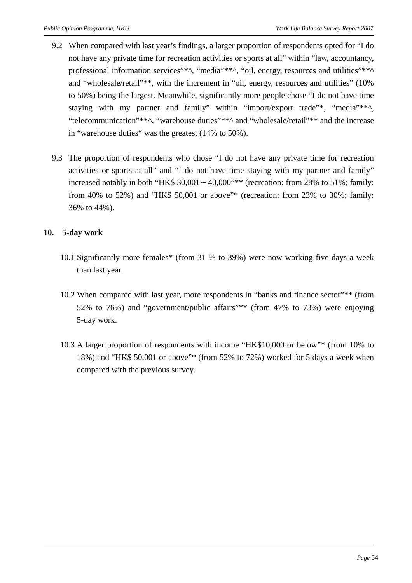- 9.2 When compared with last year's findings, a larger proportion of respondents opted for "I do not have any private time for recreation activities or sports at all" within "law, accountancy, professional information services"\*^, "media"\*\*^, "oil, energy, resources and utilities"\*\*^ and "wholesale/retail"\*\*, with the increment in "oil, energy, resources and utilities" (10% to 50%) being the largest. Meanwhile, significantly more people chose "I do not have time staying with my partner and family" within "import/export trade"\*, "media"\*\*^, "telecommunication"\*\*^, "warehouse duties"\*\*^ and "wholesale/retail"\*\* and the increase in "warehouse duties" was the greatest (14% to 50%).
- 9.3 The proportion of respondents who chose "I do not have any private time for recreation activities or sports at all" and "I do not have time staying with my partner and family" increased notably in both "HK\$ 30,001 40,000"\*\* (recreation: from 28% to 51%; family: from 40% to 52%) and "HK\$ 50,001 or above"\* (recreation: from 23% to 30%; family: 36% to 44%).

#### **10. 5-day work**

- 10.1 Significantly more females\* (from 31 % to 39%) were now working five days a week than last year.
- 10.2 When compared with last year, more respondents in "banks and finance sector"\*\* (from 52% to 76%) and "government/public affairs"\*\* (from 47% to 73%) were enjoying 5-day work.
- 10.3 A larger proportion of respondents with income "HK\$10,000 or below"\* (from 10% to 18%) and "HK\$ 50,001 or above"\* (from 52% to 72%) worked for 5 days a week when compared with the previous survey.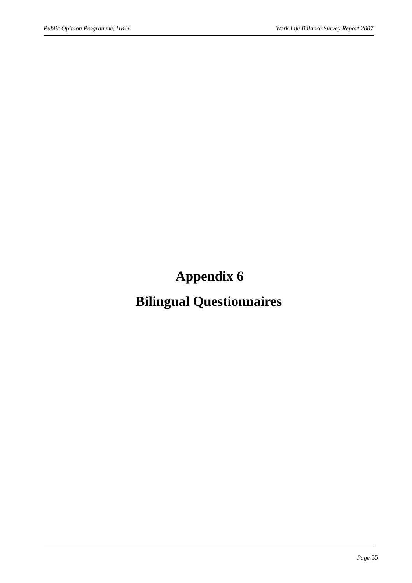**Appendix 6** 

**Bilingual Questionnaires**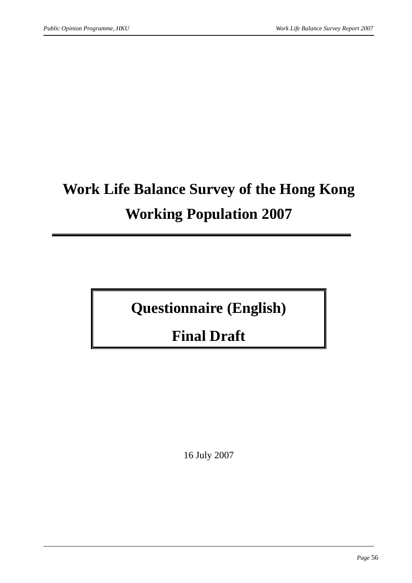# **Work Life Balance Survey of the Hong Kong Working Population 2007**

**Questionnaire (English)** 

**Final Draft** 

16 July 2007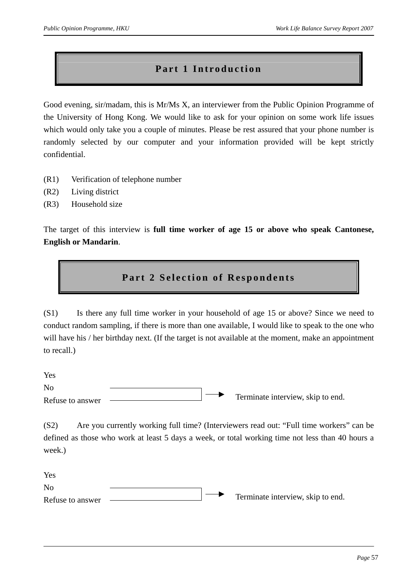#### **Part 1 Introduction**

Good evening, sir/madam, this is Mr/Ms X, an interviewer from the Public Opinion Programme of the University of Hong Kong. We would like to ask for your opinion on some work life issues which would only take you a couple of minutes. Please be rest assured that your phone number is randomly selected by our computer and your information provided will be kept strictly confidential.

- (R1) Verification of telephone number
- (R2) Living district
- (R3) Household size

The target of this interview is **full time worker of age 15 or above who speak Cantonese, English or Mandarin**.

#### **Part 2 Selection of Respondents**

(S1) Is there any full time worker in your household of age 15 or above? Since we need to conduct random sampling, if there is more than one available, I would like to speak to the one who will have his / her birthday next. (If the target is not available at the moment, make an appointment to recall.)

Yes No Refuse to answer Terminate interview, skip to end.

(S2) Are you currently working full time? (Interviewers read out: "Full time workers" can be defined as those who work at least 5 days a week, or total working time not less than 40 hours a week.)

| Yes              |  |                                   |
|------------------|--|-----------------------------------|
| N <sub>o</sub>   |  |                                   |
| Refuse to answer |  | Terminate interview, skip to end. |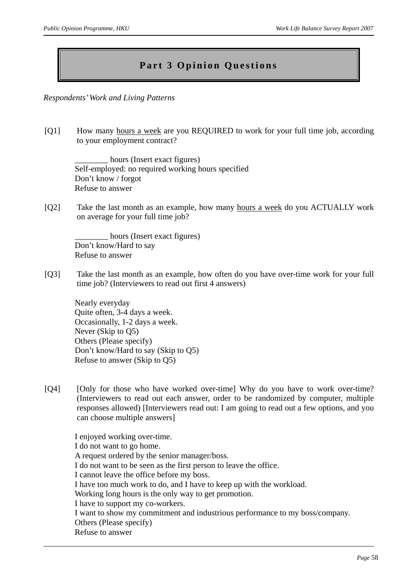### **Part 3 Opinion Questions**

*Respondents' Work and Living Patterns* 

[Q1] How many hours a week are you REQUIRED to work for your full time job, according to your employment contract?

hours (Insert exact figures) Self-employed: no required working hours specified Don't know / forgot Refuse to answer

[Q2] Take the last month as an example, how many hours a week do you ACTUALLY work on average for your full time job?

hours (Insert exact figures) Don't know/Hard to say Refuse to answer

[Q3] Take the last month as an example, how often do you have over-time work for your full time job? (Interviewers to read out first 4 answers)

Nearly everyday Quite often, 3-4 days a week. Occasionally, 1-2 days a week. Never (Skip to Q5) Others (Please specify) Don't know/Hard to say (Skip to Q5) Refuse to answer (Skip to Q5)

[Q4] [Only for those who have worked over-time] Why do you have to work over-time? (Interviewers to read out each answer, order to be randomized by computer, multiple responses allowed) [Interviewers read out: I am going to read out a few options, and you can choose multiple answers]

I enjoyed working over-time. I do not want to go home. A request ordered by the senior manager/boss. I do not want to be seen as the first person to leave the office. I cannot leave the office before my boss. I have too much work to do, and I have to keep up with the workload. Working long hours is the only way to get promotion. I have to support my co-workers. I want to show my commitment and industrious performance to my boss/company. Others (Please specify) Refuse to answer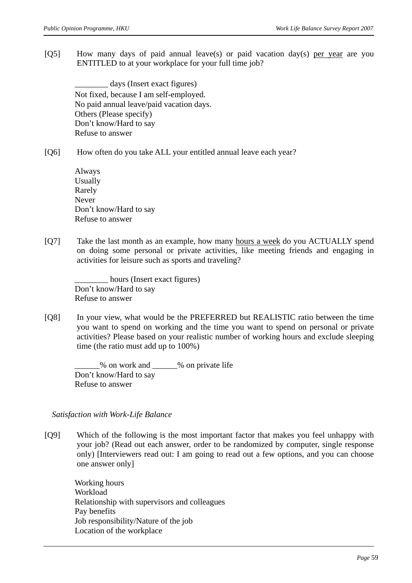[Q5] How many days of paid annual leave(s) or paid vacation day(s) per year are you ENTITLED to at your workplace for your full time job?

days (Insert exact figures) Not fixed, because I am self-employed. No paid annual leave/paid vacation days. Others (Please specify) Don't know/Hard to say Refuse to answer

[Q6] How often do you take ALL your entitled annual leave each year?

Always Usually Rarely Never Don't know/Hard to say Refuse to answer

[Q7] Take the last month as an example, how many hours a week do you ACTUALLY spend on doing some personal or private activities, like meeting friends and engaging in activities for leisure such as sports and traveling?

hours (Insert exact figures) Don't know/Hard to say Refuse to answer

[Q8] In your view, what would be the PREFERRED but REALISTIC ratio between the time you want to spend on working and the time you want to spend on personal or private activities? Please based on your realistic number of working hours and exclude sleeping time (the ratio must add up to 100%)

\_\_\_\_\_\_% on work and \_\_\_\_\_\_% on private life Don't know/Hard to say Refuse to answer

#### *Satisfaction with Work-Life Balance*

[Q9] Which of the following is the most important factor that makes you feel unhappy with your job? (Read out each answer, order to be randomized by computer, single response only) [Interviewers read out: I am going to read out a few options, and you can choose one answer only]

Working hours Workload Relationship with supervisors and colleagues Pay benefits Job responsibility/Nature of the job Location of the workplace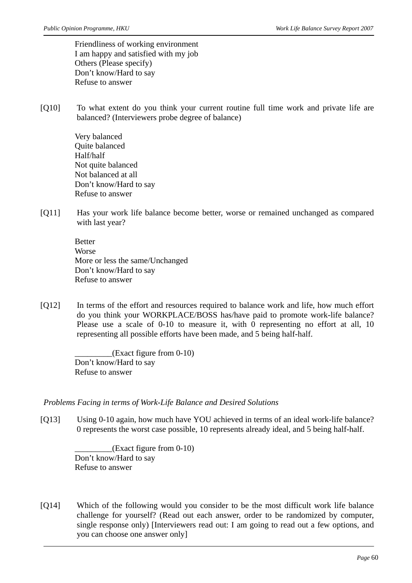Friendliness of working environment I am happy and satisfied with my job Others (Please specify) Don't know/Hard to say Refuse to answer

[Q10] To what extent do you think your current routine full time work and private life are balanced? (Interviewers probe degree of balance)

> Very balanced Quite balanced Half/half Not quite balanced Not balanced at all Don't know/Hard to say Refuse to answer

[Q11] Has your work life balance become better, worse or remained unchanged as compared with last year?

> Better Worse More or less the same/Unchanged Don't know/Hard to say Refuse to answer

[Q12] In terms of the effort and resources required to balance work and life, how much effort do you think your WORKPLACE/BOSS has/have paid to promote work-life balance? Please use a scale of 0-10 to measure it, with 0 representing no effort at all, 10 representing all possible efforts have been made, and 5 being half-half.

> \_\_\_\_\_\_\_\_\_(Exact figure from 0-10) Don't know/Hard to say Refuse to answer

*Problems Facing in terms of Work-Life Balance and Desired Solutions* 

[Q13] Using 0-10 again, how much have YOU achieved in terms of an ideal work-life balance? 0 represents the worst case possible, 10 represents already ideal, and 5 being half-half.

> $(Exact figure from 0-10)$ Don't know/Hard to say Refuse to answer

[Q14] Which of the following would you consider to be the most difficult work life balance challenge for yourself? (Read out each answer, order to be randomized by computer, single response only) [Interviewers read out: I am going to read out a few options, and you can choose one answer only]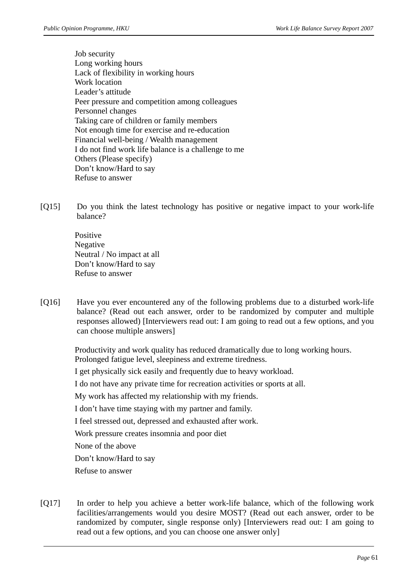- Job security Long working hours Lack of flexibility in working hours Work location Leader's attitude Peer pressure and competition among colleagues Personnel changes Taking care of children or family members Not enough time for exercise and re-education Financial well-being / Wealth management I do not find work life balance is a challenge to me Others (Please specify) Don't know/Hard to say Refuse to answer
- [Q15] Do you think the latest technology has positive or negative impact to your work-life balance?

Positive Negative Neutral / No impact at all Don't know/Hard to say Refuse to answer

[Q16] Have you ever encountered any of the following problems due to a disturbed work-life balance? (Read out each answer, order to be randomized by computer and multiple responses allowed) [Interviewers read out: I am going to read out a few options, and you can choose multiple answers]

> Productivity and work quality has reduced dramatically due to long working hours. Prolonged fatigue level, sleepiness and extreme tiredness. I get physically sick easily and frequently due to heavy workload. I do not have any private time for recreation activities or sports at all. My work has affected my relationship with my friends. I don't have time staying with my partner and family. I feel stressed out, depressed and exhausted after work. Work pressure creates insomnia and poor diet None of the above Don't know/Hard to say Refuse to answer

[Q17] In order to help you achieve a better work-life balance, which of the following work facilities/arrangements would you desire MOST? (Read out each answer, order to be randomized by computer, single response only) [Interviewers read out: I am going to read out a few options, and you can choose one answer only]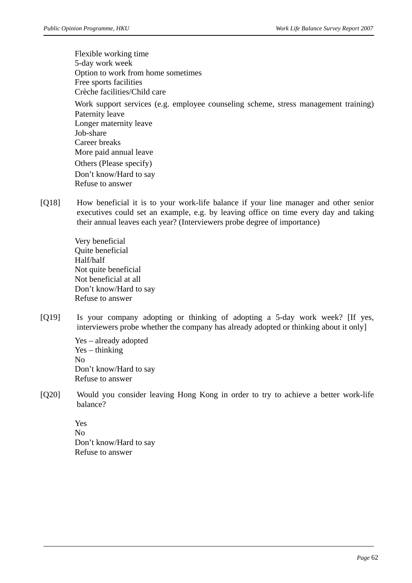Flexible working time 5-day work week Option to work from home sometimes Free sports facilities Crèche facilities/Child care Work support services (e.g. employee counseling scheme, stress management training) Paternity leave Longer maternity leave Job-share Career breaks More paid annual leave Others (Please specify) Don't know/Hard to say Refuse to answer

[Q18] How beneficial it is to your work-life balance if your line manager and other senior executives could set an example, e.g. by leaving office on time every day and taking their annual leaves each year? (Interviewers probe degree of importance)

> Very beneficial Quite beneficial Half/half Not quite beneficial Not beneficial at all Don't know/Hard to say Refuse to answer

[Q19] Is your company adopting or thinking of adopting a 5-day work week? [If yes, interviewers probe whether the company has already adopted or thinking about it only]

> Yes – already adopted Yes – thinking No Don't know/Hard to say Refuse to answer

[Q20] Would you consider leaving Hong Kong in order to try to achieve a better work-life balance?

> Yes No Don't know/Hard to say Refuse to answer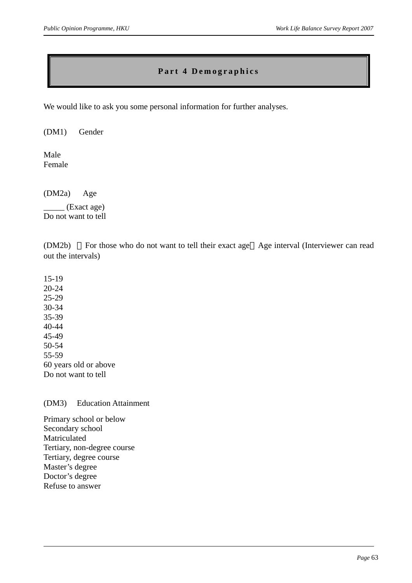#### **Part 4 Demographics**

We would like to ask you some personal information for further analyses.

(DM1) Gender

Male Female

(DM2a) Age

\_\_\_\_\_ (Exact age) Do not want to tell

(DM2b) For those who do not want to tell their exact age Age interval (Interviewer can read out the intervals)

15-19 20-24 25-29 30-34 35-39 40-44 45-49 50-54 55-59 60 years old or above Do not want to tell

#### (DM3) Education Attainment

Primary school or below Secondary school Matriculated Tertiary, non-degree course Tertiary, degree course Master's degree Doctor's degree Refuse to answer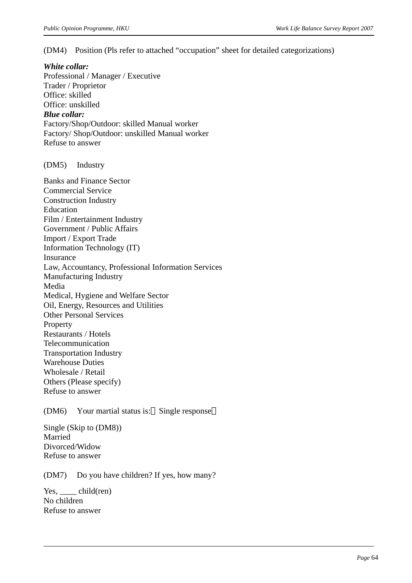(DM4) Position (Pls refer to attached "occupation" sheet for detailed categorizations)

#### *White collar:*

Professional / Manager / Executive Trader / Proprietor Office: skilled Office: unskilled *Blue collar:*  Factory/Shop/Outdoor: skilled Manual worker Factory/ Shop/Outdoor: unskilled Manual worker Refuse to answer

#### (DM5) Industry

Banks and Finance Sector Commercial Service Construction Industry Education Film / Entertainment Industry Government / Public Affairs Import / Export Trade Information Technology (IT) Insurance Law, Accountancy, Professional Information Services Manufacturing Industry Media Medical, Hygiene and Welfare Sector Oil, Energy, Resources and Utilities Other Personal Services Property Restaurants / Hotels Telecommunication Transportation Industry Warehouse Duties Wholesale / Retail Others (Please specify) Refuse to answer

(DM6) Your martial status is: Single response

Single (Skip to (DM8)) Married Divorced/Widow Refuse to answer

(DM7) Do you have children? If yes, how many?

Yes, child(ren) No children Refuse to answer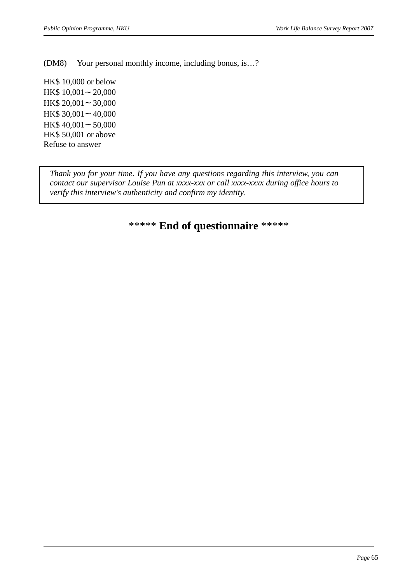(DM8) Your personal monthly income, including bonus, is…?

HK\$ 10,000 or below HK\$ 10,001 20,000 HK\$ 20,001 30,000 HK\$ 30,001 40,000 HK\$ 40,001 50,000 HK\$ 50,001 or above Refuse to answer

*Thank you for your time. If you have any questions regarding this interview, you can contact our supervisor Louise Pun at xxxx-xxx or call xxxx-xxxx during office hours to verify this interview's authenticity and confirm my identity.* 

### \*\*\*\*\* **End of questionnaire** \*\*\*\*\*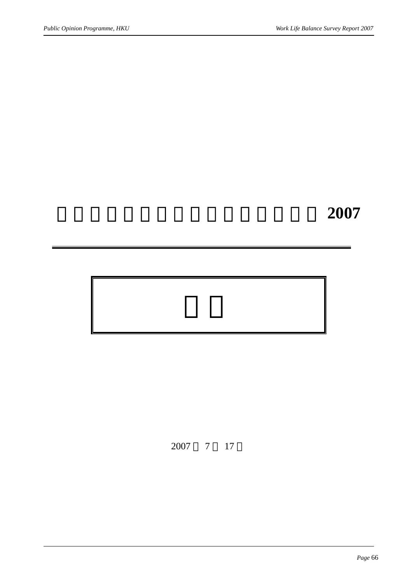# 香港在職人士的生活及工作平衡調查 **2007**

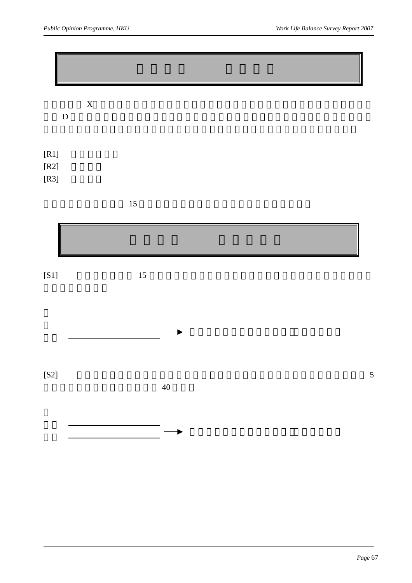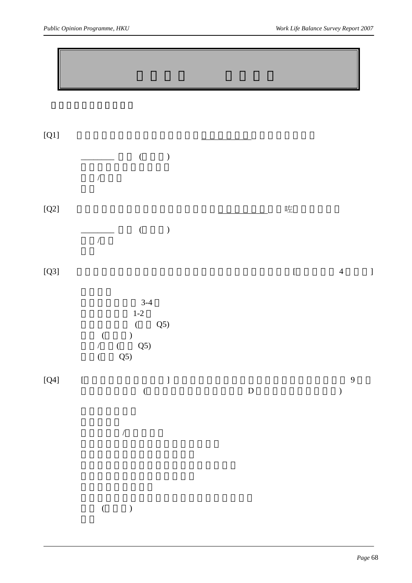| $[Q1]$                  | $\big($<br>$\, )$<br>$\sqrt{\phantom{a}}$                                                                           |               |           |                                  |
|-------------------------|---------------------------------------------------------------------------------------------------------------------|---------------|-----------|----------------------------------|
| $\left[{\rm Q}2\right]$ | $\big($<br>$\big)$<br>$\overline{ \phantom{a} }$                                                                    |               | 咗         |                                  |
| $[Q3]$                  |                                                                                                                     |               | $\lbrack$ | $\overline{4}$<br>$\,$ $\,$ $\,$ |
|                         | $3-4$<br>$1-2$<br>(Q5)<br>$\sum_{i=1}^{n}$<br>$\overline{a}$<br>$Q_5$<br>$\frac{1}{\sqrt{2}}$<br>$\frac{1}{2}$ (Q5) |               |           |                                  |
| $[{\sf Q4}]$            | $\boldsymbol{\mathsf{[}}$<br>$\begin{array}{c} \end{array}$<br>$\big($                                              | $\mathbf{D}%$ |           | 9<br>$\big)$                     |
|                         |                                                                                                                     |               |           |                                  |
|                         | $( \hspace{7mm} )$                                                                                                  |               |           |                                  |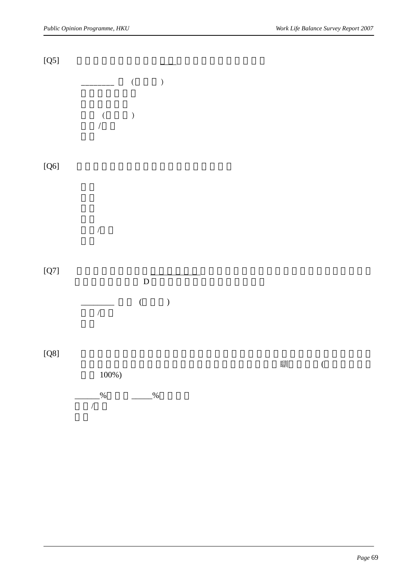

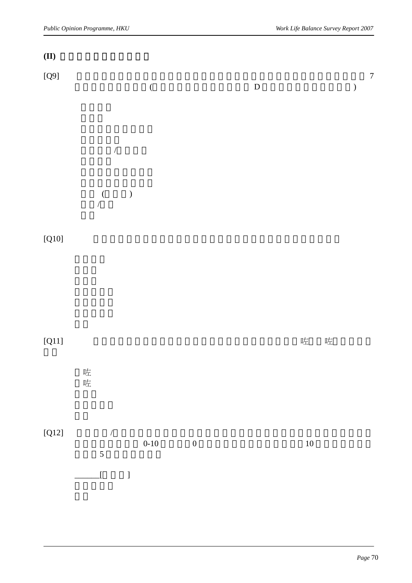| (II)         |                                                                                                     |                                      |             |        |                             |
|--------------|-----------------------------------------------------------------------------------------------------|--------------------------------------|-------------|--------|-----------------------------|
| $[{\sf Q}9]$ |                                                                                                     | $\big($                              | $\mathbf D$ |        | $\boldsymbol{7}$<br>$\big)$ |
|              | $\sqrt{\phantom{a}}$                                                                                |                                      |             |        |                             |
|              | $\hspace{0.1cm}$ )<br>$\frac{1}{\sqrt{2}}$                                                          |                                      |             |        |                             |
| $[Q10]$      |                                                                                                     |                                      |             |        |                             |
|              |                                                                                                     |                                      |             |        |                             |
| $[Q11]$      | 咗咗                                                                                                  |                                      |             | 咗<br>咗 |                             |
|              |                                                                                                     |                                      |             |        |                             |
| $[Q12]$      | $\sqrt{\phantom{a}}$<br>$\overline{5}$<br>$\overline{\mathbf{I}}$<br>$\begin{array}{c} \end{array}$ | $0 - 10$<br>$\overline{\phantom{0}}$ |             | $10\,$ |                             |
|              |                                                                                                     |                                      |             |        |                             |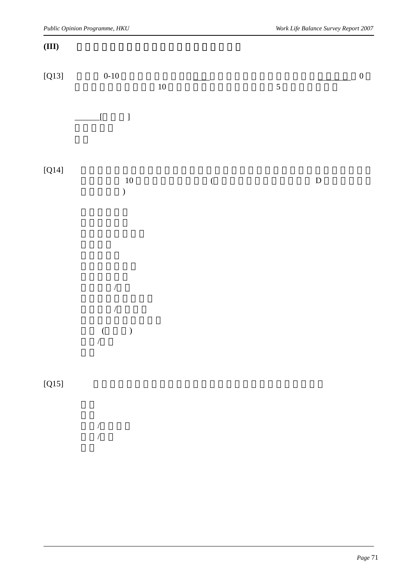#### **(III)** 生活及工作平衡所面對的問題及理想解決方法

| $[Q13]$ | $0 - 10$                                  | $10\,$  | 5 | $\boldsymbol{0}$          |
|---------|-------------------------------------------|---------|---|---------------------------|
|         | $\,$ $\,$ $\,$<br>$\overline{\mathbf{I}}$ |         |   |                           |
| $[Q14]$ | $10\,$<br>$\big)$                         | $\big($ |   | $\label{eq:1} \mathbf{D}$ |
|         | $\overline{ }$<br>$\sqrt{\phantom{a}}$    |         |   |                           |

### $[Q15]$

 $($   $)$ 

 $\frac{1}{2}$ 

|                | $\overline{1}$ |  |  |  |
|----------------|----------------|--|--|--|
| $\overline{1}$ |                |  |  |  |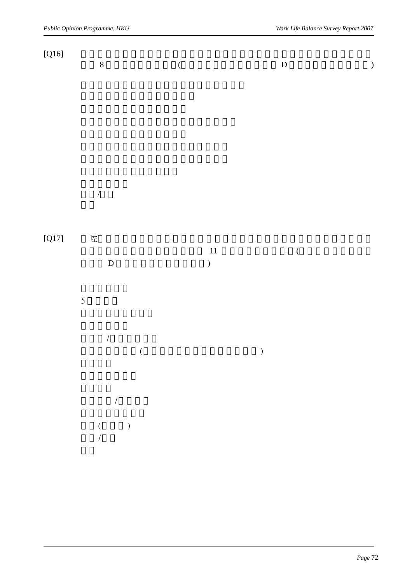| [Q16]   | $\,8\,$                                                       | $\big($       | $\mathbf{D}%$ | $\big)$ |
|---------|---------------------------------------------------------------|---------------|---------------|---------|
|         |                                                               |               |               |         |
|         |                                                               |               |               |         |
|         | $\overline{ }$                                                |               |               |         |
| $[Q17]$ | 咗<br>$\mathbf D$                                              | 11<br>$\big)$ | $\big($       |         |
|         | $\overline{5}$                                                |               |               |         |
|         | $\sqrt{\phantom{a}}$<br>$\big($                               |               | $\big)$       |         |
|         | $\overline{1}$<br>$\begin{pmatrix} & & \\ & &  \end{pmatrix}$ |               |               |         |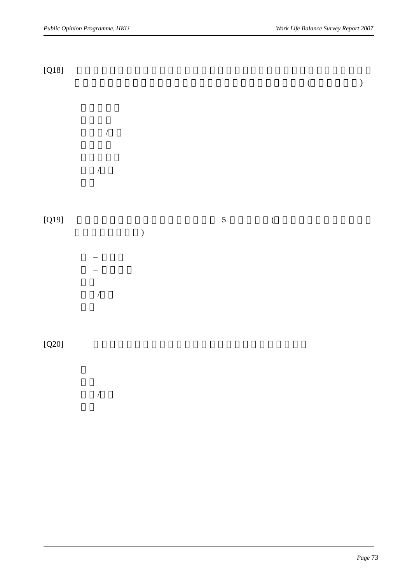| $[Q18]$ |                      |            |                  | $\big($ |  |
|---------|----------------------|------------|------------------|---------|--|
|         | $\sqrt{\phantom{a}}$ |            |                  |         |  |
|         | $\sqrt{\phantom{a}}$ |            |                  |         |  |
| $[Q19]$ | $\big)$              | $\sqrt{5}$ | $\overline{(\ }$ |         |  |
|         |                      |            |                  |         |  |
|         | $\sqrt{\phantom{a}}$ |            |                  |         |  |

 $[Q20]$ 

 $\overline{a}$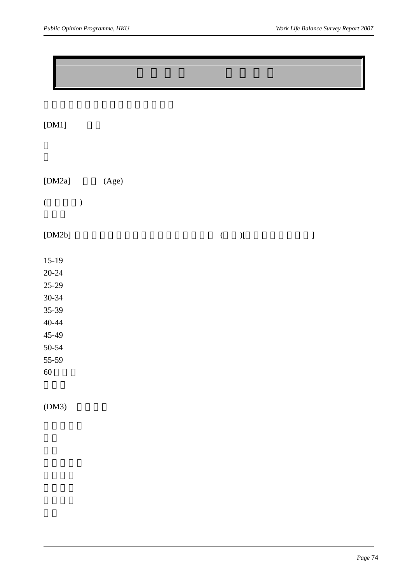$[DM1]$ 

| [DM2a]    |               | (Age) |  |         |               |                                |
|-----------|---------------|-------|--|---------|---------------|--------------------------------|
| $\big($   | $\mathcal{E}$ |       |  |         |               |                                |
| [DM2b]    |               |       |  | $\big($ | $\mathcal{Y}$ | $\begin{array}{c} \end{array}$ |
| $15-19$   |               |       |  |         |               |                                |
| $20 - 24$ |               |       |  |         |               |                                |
| $25-29$   |               |       |  |         |               |                                |
| $30 - 34$ |               |       |  |         |               |                                |
| 35-39     |               |       |  |         |               |                                |
| $40 - 44$ |               |       |  |         |               |                                |
| 45-49     |               |       |  |         |               |                                |
| 50-54     |               |       |  |         |               |                                |
| 55-59     |               |       |  |         |               |                                |
| $60\,$    |               |       |  |         |               |                                |
|           |               |       |  |         |               |                                |

 $(DM3)$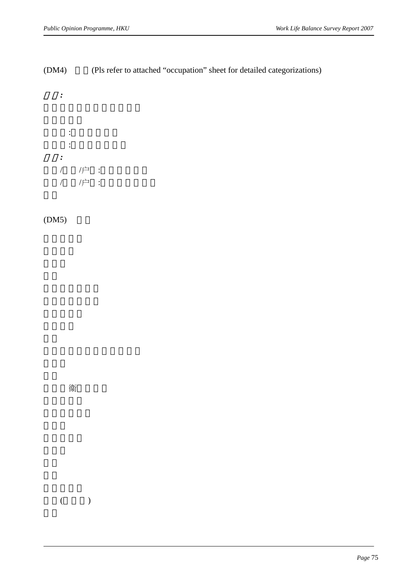# (DM4) (Pls refer to attached "occupation" sheet for detailed categorizations)



 $(DM5)$ 

衞

 $($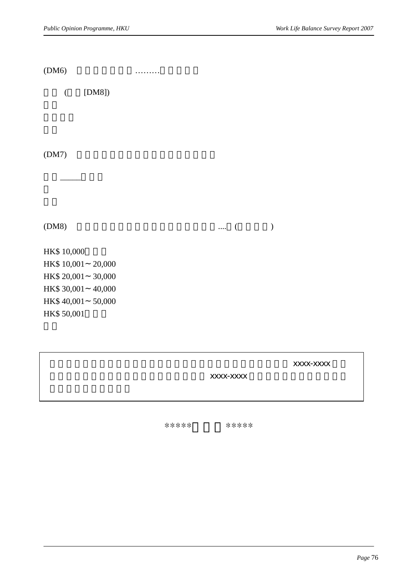$(DM6)$   $\dots\dots\dots$ 

 $($  [DM8])

 $(DM7)$ 

, and the set of  $\overline{\phantom{a}}$ 

 $(DM8)$  .... ( )

HK\$ 10,000 HK\$ 10,001 20,000 HK\$ 20,001 30,000 HK\$ 30,001 40,000 HK\$ 40,001 50,000 HK\$ 50,001

多謝你接受訪問。如果你對呢個訪問有任何疑問,可以打熱線電話 xxxx-xxxx 同我

 $\overline{\text{XXX}}$ -xxxx

\*\*\*\*\*問卷完\*\*\*\*\*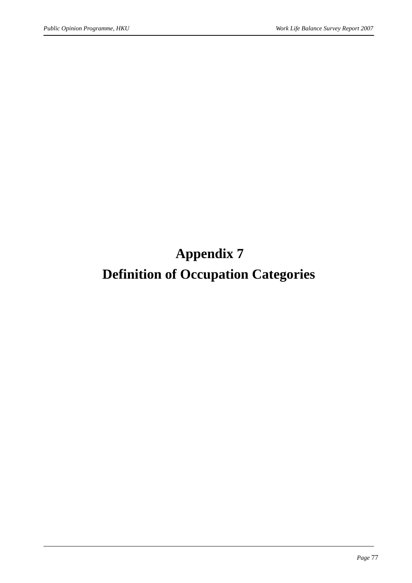**Appendix 7** 

# **Definition of Occupation Categories**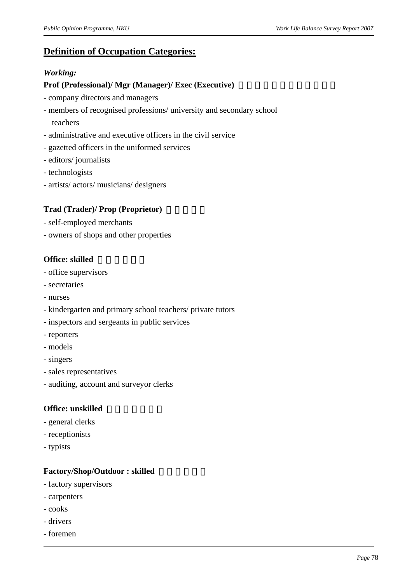# **Definition of Occupation Categories:**

#### *Working:*

#### **Prof (Professional)/ Mgr (Manager)/ Exec (Executive)**

- company directors and managers
- members of recognised professions/ university and secondary school teachers
- administrative and executive officers in the civil service
- gazetted officers in the uniformed services
- editors/ journalists
- technologists
- artists/ actors/ musicians/ designers

## **Trad (Trader)/ Prop (Proprietor)**

- self-employed merchants
- owners of shops and other properties

#### **Office: skilled**

- office supervisors
- secretaries
- nurses
- kindergarten and primary school teachers/ private tutors
- inspectors and sergeants in public services
- reporters
- models
- singers
- sales representatives
- auditing, account and surveyor clerks

#### **Office: unskilled**

- general clerks
- receptionists
- typists

#### Factory/Shop/Outdoor : skilled

- factory supervisors
- carpenters
- cooks
- drivers
- foremen